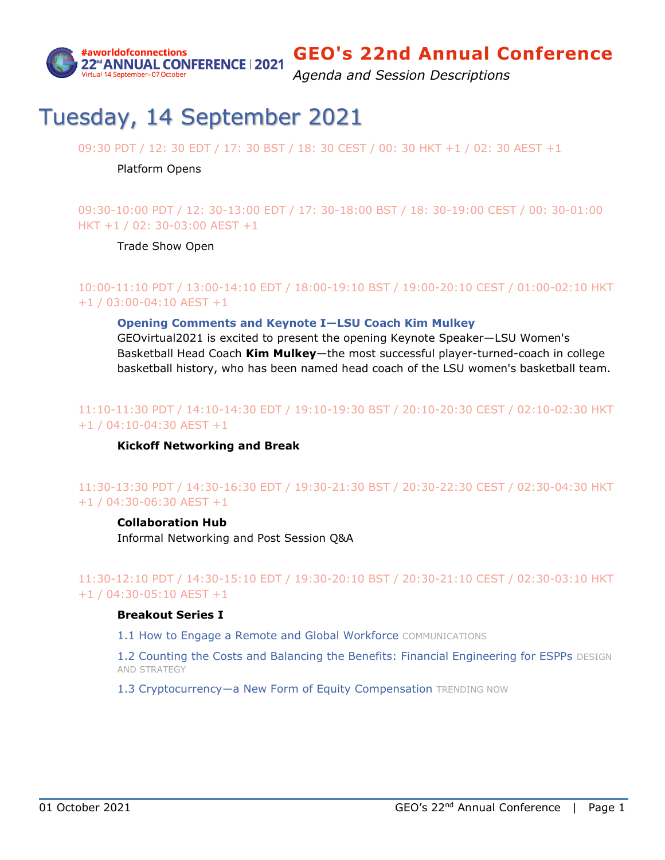

*Agenda and Session Descriptions*

# Tuesday, 14 September 2021

09:30 PDT / 12: 30 EDT / 17: 30 BST / 18: 30 CEST / 00: 30 HKT +1 / 02: 30 AEST +1

#### Platform Opens

09:30-10:00 PDT / 12: 30-13:00 EDT / 17: 30-18:00 BST / 18: 30-19:00 CEST / 00: 30-01:00 HKT +1 / 02: 30-03:00 AEST +1

Trade Show Open

## 10:00-11:10 PDT / 13:00-14:10 EDT / 18:00-19:10 BST / 19:00-20:10 CEST / 01:00-02:10 HKT +1 / 03:00-04:10 AEST +1

#### **[Opening Comments and](#page-12-0) Keynote I—LSU Coach Kim Mulkey**

GEOvirtual2021 is excited to present the opening Keynote Speaker—LSU Women's Basketball Head Coach **Kim Mulkey**—the most successful player-turned-coach in college basketball history, who has been named head coach of the LSU women's basketball team.

## 11:10-11:30 PDT / 14:10-14:30 EDT / 19:10-19:30 BST / 20:10-20:30 CEST / 02:10-02:30 HKT +1 / 04:10-04:30 AEST +1

### **Kickoff Networking and Break**

## 11:30-13:30 PDT / 14:30-16:30 EDT / 19:30-21:30 BST / 20:30-22:30 CEST / 02:30-04:30 HKT +1 / 04:30-06:30 AEST +1

### **Collaboration Hub**

Informal Networking and Post Session Q&A

## 11:30-12:10 PDT / 14:30-15:10 EDT / 19:30-20:10 BST / 20:30-21:10 CEST / 02:30-03:10 HKT +1 / 04:30-05:10 AEST +1

### **Breakout Series I**

[1.1 How to Engage a Remote and Global Workforce](#page-16-0) COMMUNICATIONS

[1.2 Counting the Costs and Balancing the Benefits: Financial Engineering for ESPPs](#page-17-0) DESIGN AND STRATEGY

1.3 Cryptocurrency-a New Form of Equity Compensation TRENDING NOW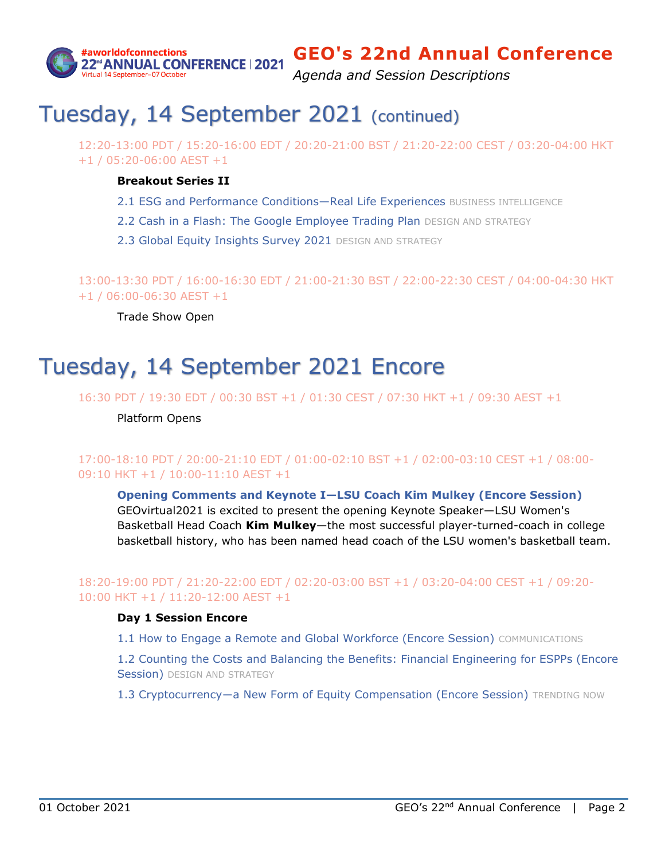

*Agenda and Session Descriptions*

# Tuesday, 14 September 2021 (continued)

12:20-13:00 PDT / 15:20-16:00 EDT / 20:20-21:00 BST / 21:20-22:00 CEST / 03:20-04:00 HKT +1 / 05:20-06:00 AEST +1

### **Breakout Series II**

- [2.1 ESG and Performance Conditions](#page-18-0)-Real Life Experiences BUSINESS INTELLIGENCE
- [2.2 Cash in a Flash: The Google Employee Trading Plan](#page-18-1) DESIGN AND STRATEGY
- [2.3 Global Equity Insights Survey 2021](#page-18-2) DESIGN AND STRATEGY

13:00-13:30 PDT / 16:00-16:30 EDT / 21:00-21:30 BST / 22:00-22:30 CEST / 04:00-04:30 HKT +1 / 06:00-06:30 AEST +1

Trade Show Open

# Tuesday, 14 September 2021 Encore

16:30 PDT / 19:30 EDT / 00:30 BST +1 / 01:30 CEST / 07:30 HKT +1 / 09:30 AEST +1

Platform Opens

## 17:00-18:10 PDT / 20:00-21:10 EDT / 01:00-02:10 BST +1 / 02:00-03:10 CEST +1 / 08:00- 09:10 HKT +1 / 10:00-11:10 AEST +1

**Opening Comments and Keynote I—[LSU Coach Kim Mulkey \(Encore Session\)](#page-12-0)** GEOvirtual2021 is excited to present the opening Keynote Speaker—LSU Women's Basketball Head Coach **Kim Mulkey**—the most successful player-turned-coach in college

basketball history, who has been named head coach of the LSU women's basketball team.

## 18:20-19:00 PDT / 21:20-22:00 EDT / 02:20-03:00 BST +1 / 03:20-04:00 CEST +1 / 09:20- 10:00 HKT +1 / 11:20-12:00 AEST +1

### **Day 1 Session Encore**

[1.1 How to Engage a Remote and Global Workforce \(Encore Session\)](#page-16-0) COMMUNICATIONS

[1.2 Counting the Costs and Balancing the Benefits: Financial Engineering for ESPPs \(Encore](#page-17-0)  [Session\)](#page-17-0) DESIGN AND STRATEGY

1.3 Cryptocurrency-a New Form of Equity Compensation (Encore Session) TRENDING NOW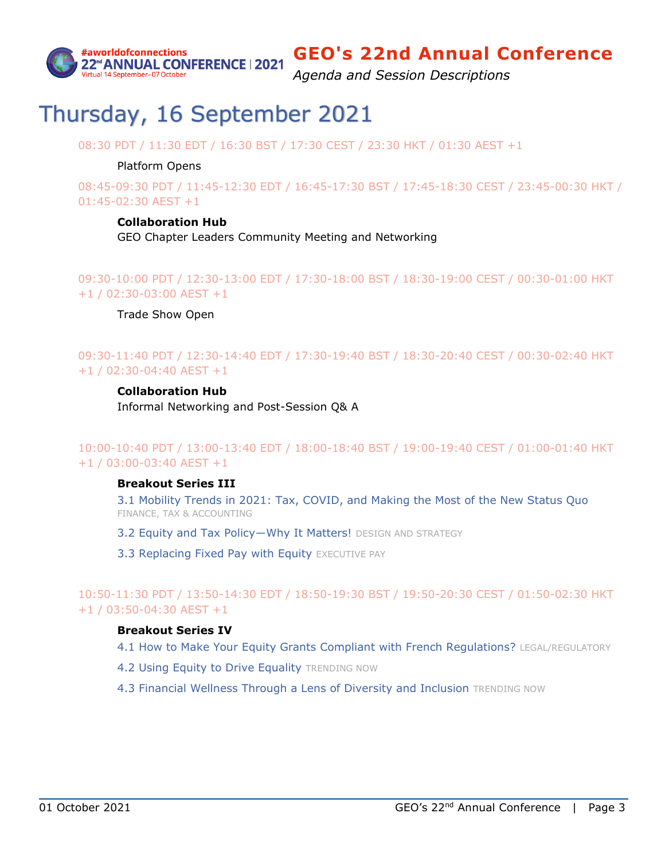

*Agenda and Session Descriptions*

# Thursday, 16 September 2021

08:30 PDT / 11:30 EDT / 16:30 BST / 17:30 CEST / 23:30 HKT / 01:30 AEST +1

### Platform Opens

08:45-09:30 PDT / 11:45-12:30 EDT / 16:45-17:30 BST / 17:45-18:30 CEST / 23:45-00:30 HKT / 01:45-02:30 AEST +1

### **Collaboration Hub**

GEO Chapter Leaders Community Meeting and Networking

09:30-10:00 PDT / 12:30-13:00 EDT / 17:30-18:00 BST / 18:30-19:00 CEST / 00:30-01:00 HKT +1 / 02:30-03:00 AEST +1

### Trade Show Open

09:30-11:40 PDT / 12:30-14:40 EDT / 17:30-19:40 BST / 18:30-20:40 CEST / 00:30-02:40 HKT +1 / 02:30-04:40 AEST +1

### **Collaboration Hub**

Informal Networking and Post-Session Q& A

10:00-10:40 PDT / 13:00-13:40 EDT / 18:00-18:40 BST / 19:00-19:40 CEST / 01:00-01:40 HKT +1 / 03:00-03:40 AEST +1

### **Breakout Series III**

3.1 [Mobility Trends in 2021: Tax, COVID, and Making the Most of the New Status Quo](#page-19-0) FINANCE, TAX & ACCOUNTING

- 3.2 Equity and Tax Policy-Why It Matters! DESIGN AND STRATEGY
- [3.3 Replacing Fixed Pay with Equity](#page-20-0) EXECUTIVE PAY

10:50-11:30 PDT / 13:50-14:30 EDT / 18:50-19:30 BST / 19:50-20:30 CEST / 01:50-02:30 HKT +1 / 03:50-04:30 AEST +1

### **Breakout Series IV**

- [4.1 How to Make Your Equity Grants Compliant with French Regulations?](#page-20-1) LEGAL/REGULATORY
- [4.2 Using Equity to Drive Equality](#page-20-2) TRENDING NOW
- [4.3 Financial Wellness Through a Lens of Diversity and Inclusion](#page-21-0) TRENDING NOW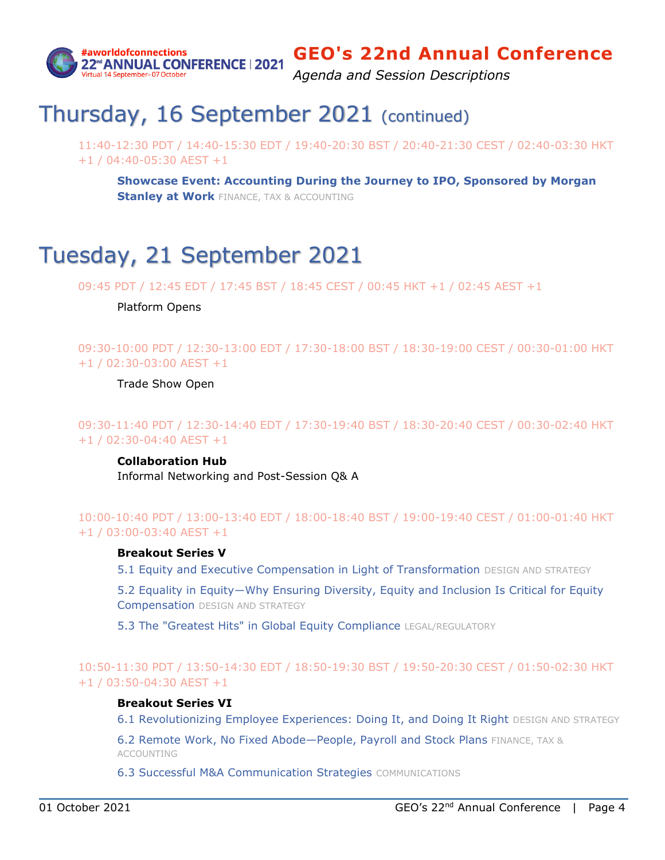

*Agenda and Session Descriptions*

# Thursday, 16 September 2021 (continued)

11:40-12:30 PDT / 14:40-15:30 EDT / 19:40-20:30 BST / 20:40-21:30 CEST / 02:40-03:30 HKT +1 / 04:40-05:30 AEST +1

**Showcase [Event: Accounting During the Journey to IPO, Sponsored by Morgan](#page-14-0)  [Stanley at Work](#page-14-0) FINANCE, TAX & ACCOUNTING** 

# Tuesday, 21 September 2021

09:45 PDT / 12:45 EDT / 17:45 BST / 18:45 CEST / 00:45 HKT +1 / 02:45 AEST +1

### Platform Opens

09:30-10:00 PDT / 12:30-13:00 EDT / 17:30-18:00 BST / 18:30-19:00 CEST / 00:30-01:00 HKT +1 / 02:30-03:00 AEST +1

Trade Show Open

09:30-11:40 PDT / 12:30-14:40 EDT / 17:30-19:40 BST / 18:30-20:40 CEST / 00:30-02:40 HKT +1 / 02:30-04:40 AEST +1

### **Collaboration Hub**

Informal Networking and Post-Session Q& A

## 10:00-10:40 PDT / 13:00-13:40 EDT / 18:00-18:40 BST / 19:00-19:40 CEST / 01:00-01:40 HKT +1 / 03:00-03:40 AEST +1

### **Breakout Series V**

[5.1 Equity and Executive Compensation in Light of Transformation](#page-21-1) DESIGN AND STRATEGY

[5.2 Equality in Equity―Why Ensuring Diversity, Eq](#page-22-0)uity and Inclusion Is Critical for Equity [Compensation](#page-22-0) DESIGN AND STRATEGY

[5.3 The "Greatest Hits" in Global Equity Compliance](#page-22-1) LEGAL/REGULATORY

## 10:50-11:30 PDT / 13:50-14:30 EDT / 18:50-19:30 BST / 19:50-20:30 CEST / 01:50-02:30 HKT +1 / 03:50-04:30 AEST +1

### **Breakout Series VI**

[6.1 Revolutionizing Employee Experiences: Doing It, and Doing It Right](#page-22-2) DESIGN AND STRATEGY

[6.2 Remote Work, No Fixed Abode](#page-23-0)—People, Payroll and Stock Plans FINANCE, TAX & ACCOUNTING

[6.3 Successful M&A Communication Strategies](#page-23-1) COMMUNICATIONS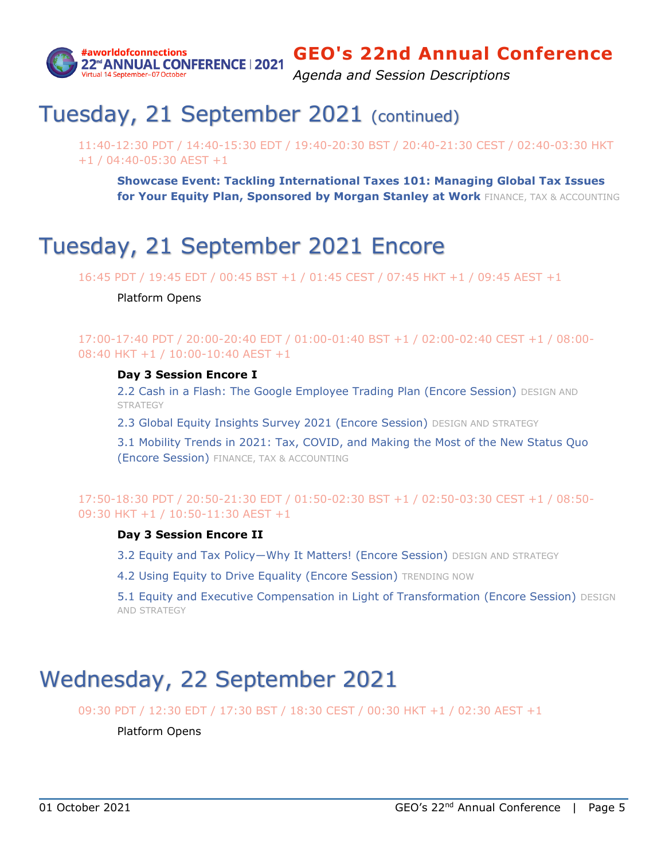

*Agenda and Session Descriptions*

# Tuesday, 21 September 2021 (continued)

11:40-12:30 PDT / 14:40-15:30 EDT / 19:40-20:30 BST / 20:40-21:30 CEST / 02:40-03:30 HKT +1 / 04:40-05:30 AEST +1

**Showcase [Event: Tackling International Taxes 101: Managing Global Tax Issues](#page-16-1)  for Your [Equity Plan, Sponsored by Morgan Stanley at Work](#page-16-1)** FINANCE, TAX & ACCOUNTING

# Tuesday, 21 September 2021 Encore

16:45 PDT / 19:45 EDT / 00:45 BST +1 / 01:45 CEST / 07:45 HKT +1 / 09:45 AEST +1

### Platform Opens

17:00-17:40 PDT / 20:00-20:40 EDT / 01:00-01:40 BST +1 / 02:00-02:40 CEST +1 / 08:00- 08:40 HKT +1 / 10:00-10:40 AEST +1

### **Day 3 Session Encore I**

[2.2 Cash in a Flash: The Google Employee Trading Plan \(Encore Session\)](#page-18-1) DESIGN AND **STRATEGY** 

[2.3 Global Equity Insights Survey 2021 \(Encore Session\)](#page-18-3) DESIGN AND STRATEGY

[3.1 Mobility Trends in 2021: Tax, COVID, and Making the Most of the New Status Quo](#page-19-0)  [\(Encore Session\)](#page-19-0) FINANCE, TAX & ACCOUNTING

## 17:50-18:30 PDT / 20:50-21:30 EDT / 01:50-02:30 BST +1 / 02:50-03:30 CEST +1 / 08:50- 09:30 HKT +1 / 10:50-11:30 AEST +1

### **Day 3 Session Encore II**

3.2 Equity and Tax Policy-Why It Matters! (Encore Session) DESIGN AND STRATEGY

[4.2 Using Equity to Drive Equality \(Encore Session\)](#page-20-2) TRENDING NOW

[5.1 Equity and Executive Compensation in Light of Transformation \(Encore Session\)](#page-21-1) DESIGN AND STRATEGY

# Wednesday, 22 September 2021

09:30 PDT / 12:30 EDT / 17:30 BST / 18:30 CEST / 00:30 HKT +1 / 02:30 AEST +1

Platform Opens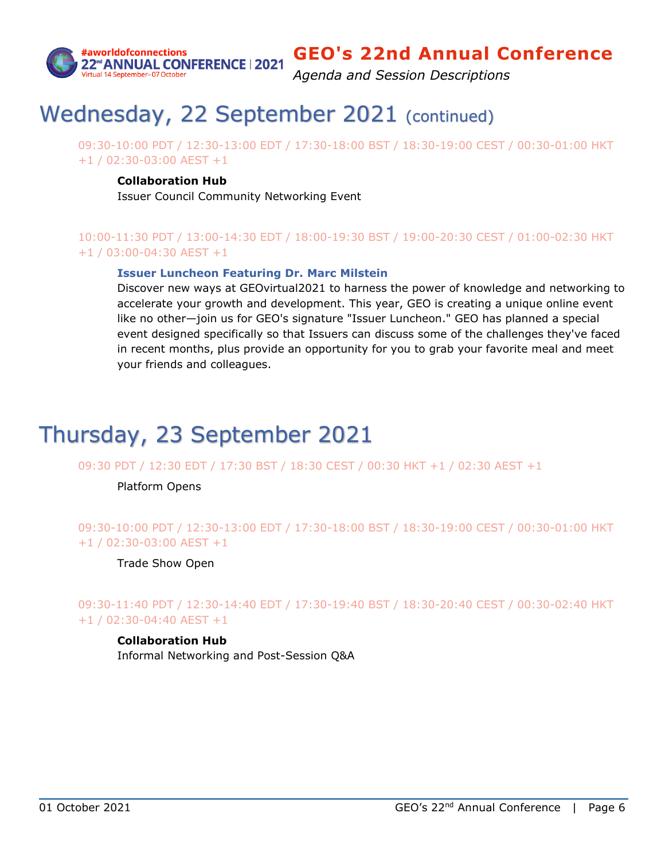

*Agenda and Session Descriptions*

# Wednesday, 22 September 2021 (continued)

09:30-10:00 PDT / 12:30-13:00 EDT / 17:30-18:00 BST / 18:30-19:00 CEST / 00:30-01:00 HKT +1 / 02:30-03:00 AEST +1

### **Collaboration Hub**

Issuer Council Community Networking Event

## 10:00-11:30 PDT / 13:00-14:30 EDT / 18:00-19:30 BST / 19:00-20:30 CEST / 01:00-02:30 HKT +1 / 03:00-04:30 AEST +1

### **[Issuer Luncheon Featuring Dr.](#page-13-0) Marc Milstein**

Discover new ways at GEOvirtual2021 to harness the power of knowledge and networking to accelerate your growth and development. This year, GEO is creating a unique online event like no other—join us for GEO's signature "Issuer Luncheon." GEO has planned a special event designed specifically so that Issuers can discuss some of the challenges they've faced in recent months, plus provide an opportunity for you to grab your favorite meal and meet your friends and colleagues.

# Thursday, 23 September 2021

09:30 PDT / 12:30 EDT / 17:30 BST / 18:30 CEST / 00:30 HKT +1 / 02:30 AEST +1

Platform Opens

## 09:30-10:00 PDT / 12:30-13:00 EDT / 17:30-18:00 BST / 18:30-19:00 CEST / 00:30-01:00 HKT +1 / 02:30-03:00 AEST +1

Trade Show Open

09:30-11:40 PDT / 12:30-14:40 EDT / 17:30-19:40 BST / 18:30-20:40 CEST / 00:30-02:40 HKT +1 / 02:30-04:40 AEST +1

### **Collaboration Hub**

Informal Networking and Post-Session Q&A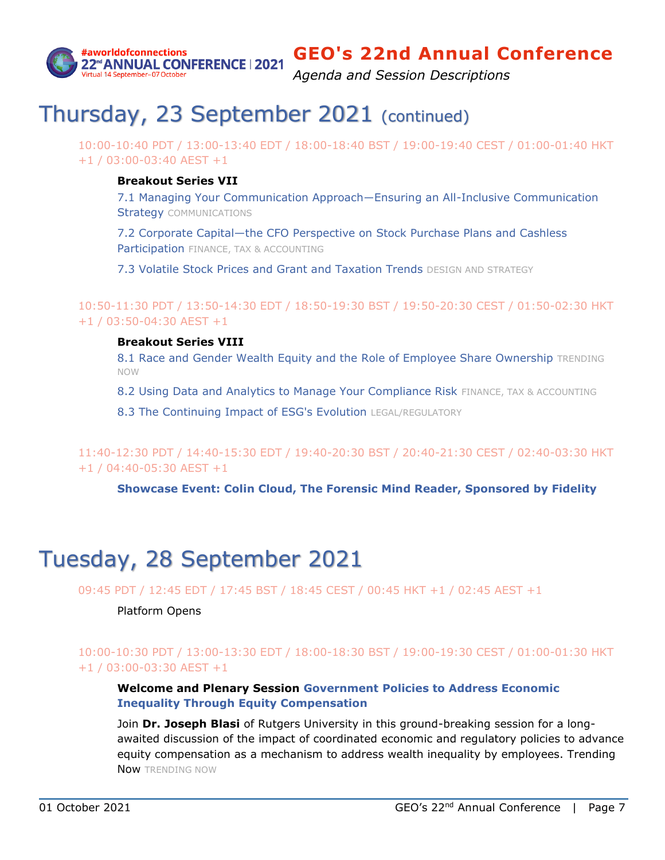

*Agenda and Session Descriptions*

# Thursday, 23 September 2021 (continued)

10:00-10:40 PDT / 13:00-13:40 EDT / 18:00-18:40 BST / 19:00-19:40 CEST / 01:00-01:40 HKT +1 / 03:00-03:40 AEST +1

### **Breakout Series VII**

[7.1 Managing Your Communication Approach―Ensuring an All](#page-24-0)-Inclusive Communication **[Strategy](#page-24-0) COMMUNICATIONS** 

7.2 Corporate Capital—[the CFO Perspective on Stock Purchase Plans and Cashless](#page-24-1)  [Participation](#page-24-1) FINANCE, TAX & ACCOUNTING

[7.3 Volatile Stock Prices and Grant and Taxation Trends](#page-24-2) DESIGN AND STRATEGY

10:50-11:30 PDT / 13:50-14:30 EDT / 18:50-19:30 BST / 19:50-20:30 CEST / 01:50-02:30 HKT +1 / 03:50-04:30 AEST +1

### **Breakout Series VIII**

[8.1 Race and Gender Wealth Equity and the Role of Employee Share Ownership](#page-25-0) TRENDING NOW

[8.2 Using Data and Analytics to Manage Your Compliance Risk](#page-25-1) FINANCE, TAX & ACCOUNTING

[8.3 The Continuing Impact of ESG's Evolution](#page-26-0) LEGAL/REGULATORY

11:40-12:30 PDT / 14:40-15:30 EDT / 19:40-20:30 BST / 20:40-21:30 CEST / 02:40-03:30 HKT +1 / 04:40-05:30 AEST +1

**[Showcase Event: Colin Cloud, The Forensic Mind Reader, Sponsored by Fidelity](#page-15-0)**

# Tuesday, 28 September 2021

09:45 PDT / 12:45 EDT / 17:45 BST / 18:45 CEST / 00:45 HKT +1 / 02:45 AEST +1

### Platform Opens

## 10:00-10:30 PDT / 13:00-13:30 EDT / 18:00-18:30 BST / 19:00-19:30 CEST / 01:00-01:30 HKT +1 / 03:00-03:30 AEST +1

### **Welcome and Plenary Session [Government Policies to Address Economic](#page-14-1)  [Inequality Through Equity Compensation](#page-14-1)**

Join **Dr. Joseph Blasi** of Rutgers University in this ground-breaking session for a longawaited discussion of the impact of coordinated economic and regulatory policies to advance equity compensation as a mechanism to address wealth inequality by employees. Trending Now TRENDING NOW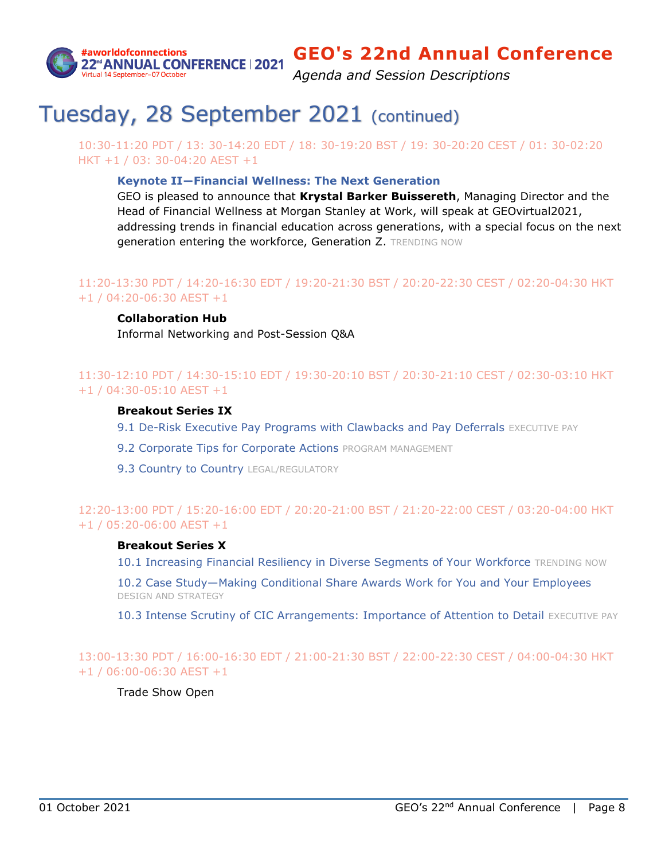

*Agenda and Session Descriptions*

# Tuesday, 28 September 2021 (continued)

10:30-11:20 PDT / 13: 30-14:20 EDT / 18: 30-19:20 BST / 19: 30-20:20 CEST / 01: 30-02:20 HKT +1 / 03: 30-04:20 AEST +1

### **Keynote II―[Financial Wellness: The Next Generation](#page-12-1)**

GEO is pleased to announce that **Krystal Barker Buissereth**, Managing Director and the Head of Financial Wellness at Morgan Stanley at Work, will speak at GEOvirtual2021, addressing trends in financial education across generations, with a special focus on the next generation entering the workforce, Generation Z. TRENDING NOW

## 11:20-13:30 PDT / 14:20-16:30 EDT / 19:20-21:30 BST / 20:20-22:30 CEST / 02:20-04:30 HKT +1 / 04:20-06:30 AEST +1

### **Collaboration Hub**

Informal Networking and Post-Session Q&A

### 11:30-12:10 PDT / 14:30-15:10 EDT / 19:30-20:10 BST / 20:30-21:10 CEST / 02:30-03:10 HKT +1 / 04:30-05:10 AEST +1

### **Breakout Series IX**

- 9.1 [De-Risk Executive Pay Programs with Clawbacks and Pay Deferrals](#page-26-1) EXECUTIVE PAY
- [9.2 Corporate Tips for Corporate Actions](#page-27-0) PROGRAM MANAGEMENT
- [9.3 Country to Country](#page-27-1) LEGAL/REGULATORY

## 12:20-13:00 PDT / 15:20-16:00 EDT / 20:20-21:00 BST / 21:20-22:00 CEST / 03:20-04:00 HKT +1 / 05:20-06:00 AEST +1

### **Breakout Series X**

[10.1 Increasing Financial Resiliency in Diverse Segments of Your Workforce](#page-27-2) TRENDING NOW

10.2 Case Study—[Making Conditional Share Awards Work for You and Your Employees](#page-28-0) DESIGN AND STRATEGY

[10.3 Intense Scrutiny of CIC Arrangements: Importance of Attention to Detail](#page-28-1) EXECUTIVE PAY

13:00-13:30 PDT / 16:00-16:30 EDT / 21:00-21:30 BST / 22:00-22:30 CEST / 04:00-04:30 HKT +1 / 06:00-06:30 AEST +1

Trade Show Open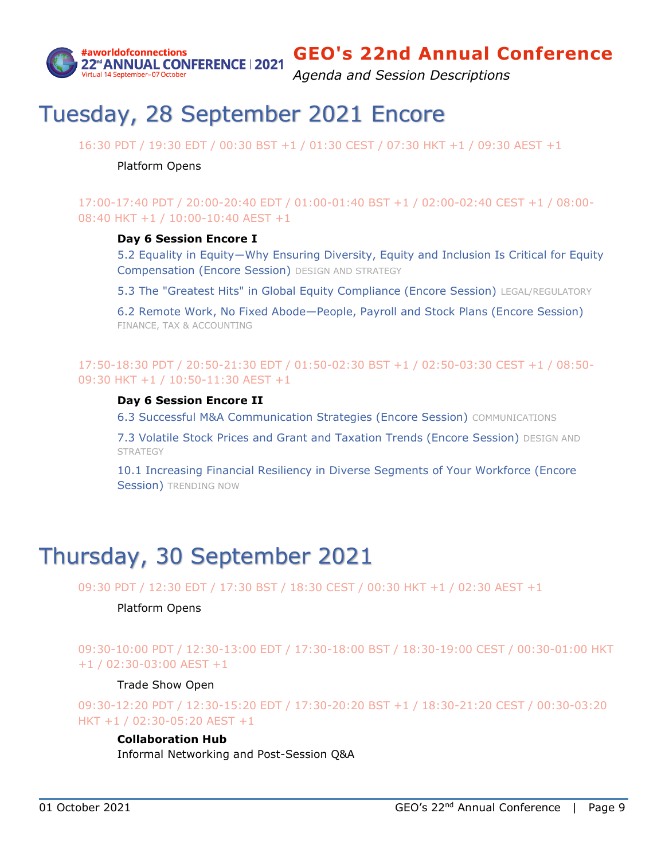

*Agenda and Session Descriptions*

# Tuesday, 28 September 2021 Encore

16:30 PDT / 19:30 EDT / 00:30 BST +1 / 01:30 CEST / 07:30 HKT +1 / 09:30 AEST +1

#### Platform Opens

17:00-17:40 PDT / 20:00-20:40 EDT / 01:00-01:40 BST +1 / 02:00-02:40 CEST +1 / 08:00- 08:40 HKT +1 / 10:00-10:40 AEST +1

### **Day 6 Session Encore I**

[5.2 Equality in Equity―Why Ensuring Diversity, Equity and Inclusion Is Critic](#page-22-0)al for Equity [Compensation \(Encore Session\)](#page-22-0) DESIGN AND STRATEGY

[5.3 The "Greatest Hits" in Global Equity Compliance \(Encore Session\)](#page-22-1) LEGAL/REGULATORY

6.2 Remote Work, No Fixed Abode—[People, Payroll and Stock Plans \(Encore Session\)](#page-23-0) FINANCE, TAX & ACCOUNTING

### 17:50-18:30 PDT / 20:50-21:30 EDT / 01:50-02:30 BST +1 / 02:50-03:30 CEST +1 / 08:50- 09:30 HKT +1 / 10:50-11:30 AEST +1

#### **Day 6 Session Encore II**

[6.3 Successful M&A Communication Strategies \(Encore Session\)](#page-23-1) COMMUNICATIONS

[7.3 Volatile Stock Prices and Grant and Taxation Trends \(Encore Session\)](#page-24-2) DESIGN AND **STRATEGY** 

[10.1 Increasing Financial Resiliency in Diverse Segments of Your Workforce \(Encore](#page-27-2)  [Session\)](#page-27-2) TRENDING NOW

# Thursday, 30 September 2021

09:30 PDT / 12:30 EDT / 17:30 BST / 18:30 CEST / 00:30 HKT +1 / 02:30 AEST +1

#### Platform Opens

09:30-10:00 PDT / 12:30-13:00 EDT / 17:30-18:00 BST / 18:30-19:00 CEST / 00:30-01:00 HKT +1 / 02:30-03:00 AEST +1

#### Trade Show Open

09:30-12:20 PDT / 12:30-15:20 EDT / 17:30-20:20 BST +1 / 18:30-21:20 CEST / 00:30-03:20 HKT +1 / 02:30-05:20 AEST +1

#### **Collaboration Hub**

Informal Networking and Post-Session Q&A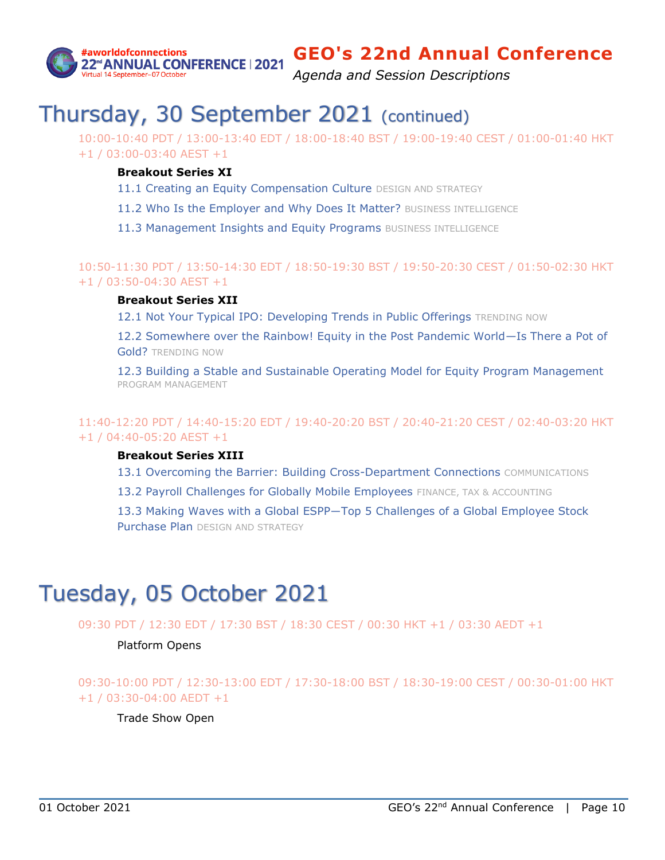

*Agenda and Session Descriptions*

# Thursday, 30 September 2021 (continued)

10:00-10:40 PDT / 13:00-13:40 EDT / 18:00-18:40 BST / 19:00-19:40 CEST / 01:00-01:40 HKT +1 / 03:00-03:40 AEST +1

### **Breakout Series XI**

- [11.1 Creating an Equity Compensation Culture](#page-29-0) DESIGN AND STRATEGY
- [11.2 Who Is the Employer and Why Does It Matter?](#page-29-1) BUSINESS INTELLIGENCE
- [11.3 Management Insights and Equity Programs](#page-30-0) BUSINESS INTELLIGENCE

10:50-11:30 PDT / 13:50-14:30 EDT / 18:50-19:30 BST / 19:50-20:30 CEST / 01:50-02:30 HKT +1 / 03:50-04:30 AEST +1

### **Breakout Series XII**

[12.1 Not Your Typical IPO: Developing Trends in Public Offerings](#page-30-1) TRENDING NOW

12.2 [Somewhere over the Rainbow! Equity in the Post Pandemic World](#page-30-2)—Is There a Pot of [Gold?](#page-30-2) TRENDING NOW

[12.3 Building a Stable and Sustainable Operating Model for Equity Program Management](#page-31-0) PROGRAM MANAGEMENT

## 11:40-12:20 PDT / 14:40-15:20 EDT / 19:40-20:20 BST / 20:40-21:20 CEST / 02:40-03:20 HKT +1 / 04:40-05:20 AEST +1

### **Breakout Series XIII**

[13.1 Overcoming the Barrier: Building Cross-Department Connections](#page-31-1) COMMUNICATIONS

[13.2 Payroll Challenges for Globally Mobile Employees](#page-32-0) FINANCE, TAX & ACCOUNTING

[13.3 Making Waves with a Global ESPP―Top 5 Challenges of a Global Employee Stock](#page-32-1)  [Purchase Plan](#page-32-1) DESIGN AND STRATEGY

# Tuesday, 05 October 2021

09:30 PDT / 12:30 EDT / 17:30 BST / 18:30 CEST / 00:30 HKT +1 / 03:30 AEDT +1

Platform Opens

09:30-10:00 PDT / 12:30-13:00 EDT / 17:30-18:00 BST / 18:30-19:00 CEST / 00:30-01:00 HKT +1 / 03:30-04:00 AEDT +1

Trade Show Open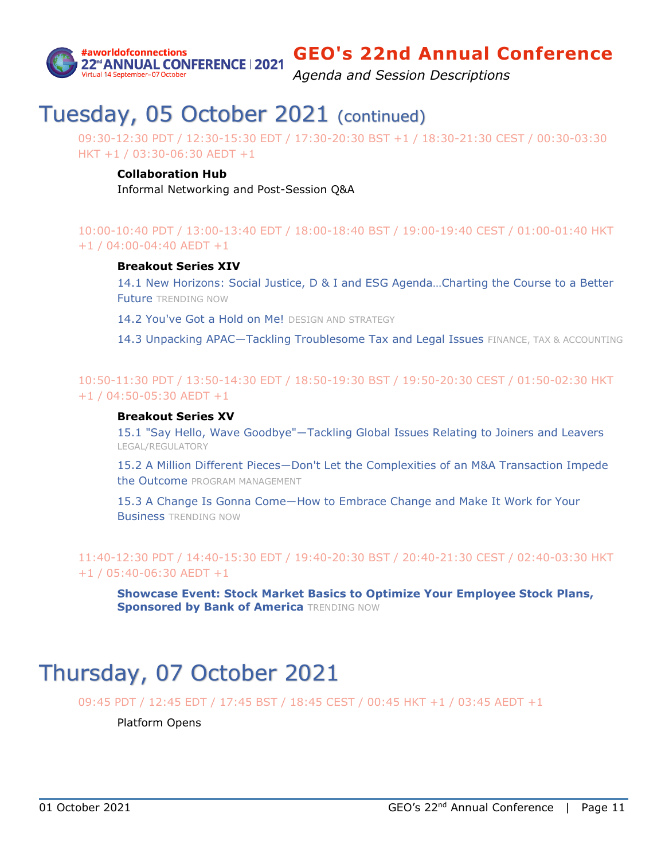

*Agenda and Session Descriptions*

# Tuesday, 05 October 2021 (continued)

09:30-12:30 PDT / 12:30-15:30 EDT / 17:30-20:30 BST +1 / 18:30-21:30 CEST / 00:30-03:30 HKT +1 / 03:30-06:30 AEDT +1

#### **Collaboration Hub**

Informal Networking and Post-Session Q&A

### 10:00-10:40 PDT / 13:00-13:40 EDT / 18:00-18:40 BST / 19:00-19:40 CEST / 01:00-01:40 HKT +1 / 04:00-04:40 AEDT +1

#### **Breakout Series XIV**

[14.1 New Horizons: Social Justice, D & I and ESG Agenda…Charting the Course to a Better](#page-33-0)  [Future](#page-33-0) TRENDING NOW

[14.2 You've Got a Hold on Me!](#page-33-1) DESIGN AND STRATEGY

14.3 Unpacking APAC-Tackling Troublesome Tax and Legal Issues FINANCE, TAX & ACCOUNTING

10:50-11:30 PDT / 13:50-14:30 EDT / 18:50-19:30 BST / 19:50-20:30 CEST / 01:50-02:30 HKT +1 / 04:50-05:30 AEDT +1

#### **Breakout Series XV**

[15.1 "Say Hello, Wave Goodbye"―Tackling Global Issues Relating to Joiners and Leavers](#page-34-0) LEGAL/REGULATORY

15.2 A Million Different Pieces―Don't Let [the Complexities of an M&A Transaction Impede](#page-34-1)  [the Outcome](#page-34-1) PROGRAM MANAGEMENT

[15.3 A Change Is Gonna Come―How to Embrace Change and Make It Work for Your](#page-35-0)  [Business](#page-35-0) TRENDING NOW

11:40-12:30 PDT / 14:40-15:30 EDT / 19:40-20:30 BST / 20:40-21:30 CEST / 02:40-03:30 HKT +1 / 05:40-06:30 AEDT +1

**[Showcase Event: Stock Market Basics to Optimize Your Employee Stock Plans,](#page-15-1)  [Sponsored by Bank of America](#page-15-1) TRENDING NOW** 

# Thursday, 07 October 2021

09:45 PDT / 12:45 EDT / 17:45 BST / 18:45 CEST / 00:45 HKT +1 / 03:45 AEDT +1

Platform Opens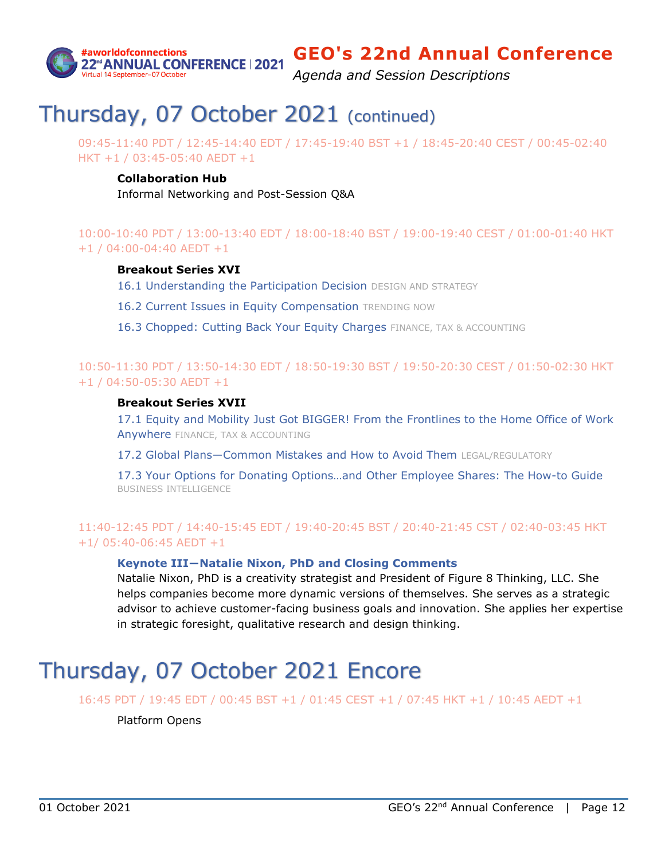

*Agenda and Session Descriptions*

# Thursday, 07 October 2021 (continued)

09:45-11:40 PDT / 12:45-14:40 EDT / 17:45-19:40 BST +1 / 18:45-20:40 CEST / 00:45-02:40 HKT +1 / 03:45-05:40 AEDT +1

### **Collaboration Hub**

Informal Networking and Post-Session Q&A

## 10:00-10:40 PDT / 13:00-13:40 EDT / 18:00-18:40 BST / 19:00-19:40 CEST / 01:00-01:40 HKT +1 / 04:00-04:40 AEDT +1

### **Breakout Series XVI**

[16.1 Understanding the Participation Decision](#page-35-1) DESIGN AND STRATEGY

- [16.2 Current Issues in Equity Compensation](#page-36-0) TRENDING NOW
- [16.3 Chopped: Cutting Back Your Equity Charges](#page-36-1) FINANCE, TAX & ACCOUNTING

## 10:50-11:30 PDT / 13:50-14:30 EDT / 18:50-19:30 BST / 19:50-20:30 CEST / 01:50-02:30 HKT +1 / 04:50-05:30 AEDT +1

#### **Breakout Series XVII**

[17.1 Equity and Mobility Just Got BIGGER! From the Frontlines to the Home Office of Work](#page-37-0)  [Anywhere](#page-37-0) FINANCE, TAX & ACCOUNTING

[17.2 Global Plans―Common Mistakes and How to Avoid Them](#page-37-1) LEGAL/REGULATORY

17.3 Your Options for Donat[ing Options…and Other Employee Shares: The How](#page-37-2)-to Guide BUSINESS INTELLIGENCE

## 11:40-12:45 PDT / 14:40-15:45 EDT / 19:40-20:45 BST / 20:40-21:45 CST / 02:40-03:45 HKT +1/ 05:40-06:45 AEDT +1

### **Keynote III―Natalie Nixon, PhD [and Closing Comments](#page-13-1)**

Natalie Nixon, PhD is a creativity strategist and President of Figure 8 Thinking, LLC. She helps companies become more dynamic versions of themselves. She serves as a strategic advisor to achieve customer-facing business goals and innovation. She applies her expertise in strategic foresight, qualitative research and design thinking.

# Thursday, 07 October 2021 Encore

16:45 PDT / 19:45 EDT / 00:45 BST +1 / 01:45 CEST +1 / 07:45 HKT +1 / 10:45 AEDT +1

#### Platform Opens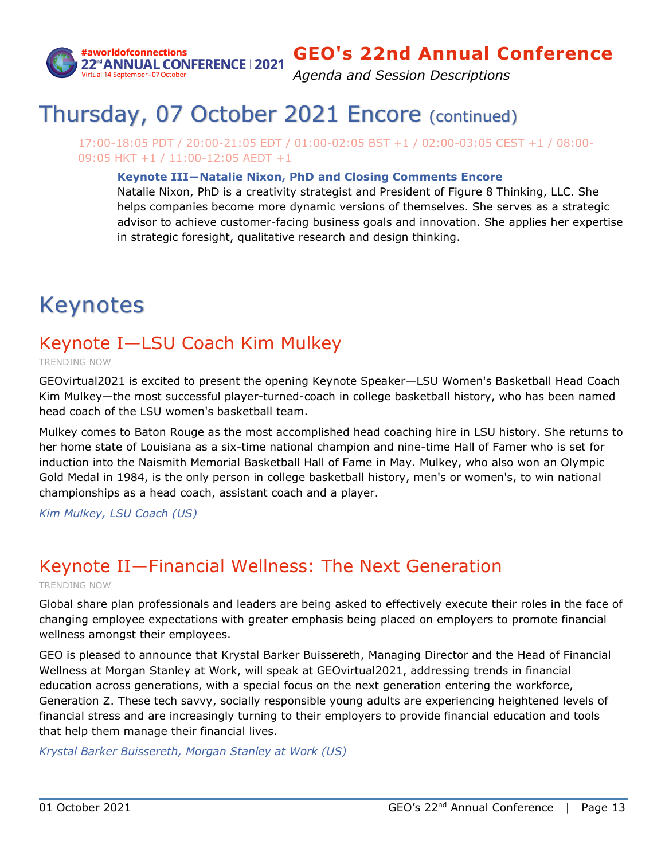

*Agenda and Session Descriptions*

# Thursday, 07 October 2021 Encore (continued)

17:00-18:05 PDT / 20:00-21:05 EDT / 01:00-02:05 BST +1 / 02:00-03:05 CEST +1 / 08:00- 09:05 HKT +1 / 11:00-12:05 AEDT +1

### **Keynote III―Natalie Nixon, PhD [and Closing Comments](#page-13-1) Encore**

Natalie Nixon, PhD is a creativity strategist and President of Figure 8 Thinking, LLC. She helps companies become more dynamic versions of themselves. She serves as a strategic advisor to achieve customer-facing business goals and innovation. She applies her expertise in strategic foresight, qualitative research and design thinking.

# Keynotes

## <span id="page-12-0"></span>Keynote I—LSU Coach Kim Mulkey

TRENDING NOW

GEOvirtual2021 is excited to present the opening Keynote Speaker—LSU Women's Basketball Head Coach Kim Mulkey—the most successful player-turned-coach in college basketball history, who has been named head coach of the LSU women's basketball team.

Mulkey comes to Baton Rouge as the most accomplished head coaching hire in LSU history. She returns to her home state of Louisiana as a six-time national champion and nine-time Hall of Famer who is set for induction into the Naismith Memorial Basketball Hall of Fame in May. Mulkey, who also won an Olympic Gold Medal in 1984, is the only person in college basketball history, men's or women's, to win national championships as a head coach, assistant coach and a player.

*Kim Mulkey, LSU Coach (US)*

# <span id="page-12-1"></span>Keynote II―Financial Wellness: The Next Generation

TRENDING NOW

Global share plan professionals and leaders are being asked to effectively execute their roles in the face of changing employee expectations with greater emphasis being placed on employers to promote financial wellness amongst their employees.

GEO is pleased to announce that Krystal Barker Buissereth, Managing Director and the Head of Financial Wellness at Morgan Stanley at Work, will speak at GEOvirtual2021, addressing trends in financial education across generations, with a special focus on the next generation entering the workforce, Generation Z. These tech savvy, socially responsible young adults are experiencing heightened levels of financial stress and are increasingly turning to their employers to provide financial education and tools that help them manage their financial lives.

*Krystal Barker Buissereth, Morgan Stanley at Work (US)*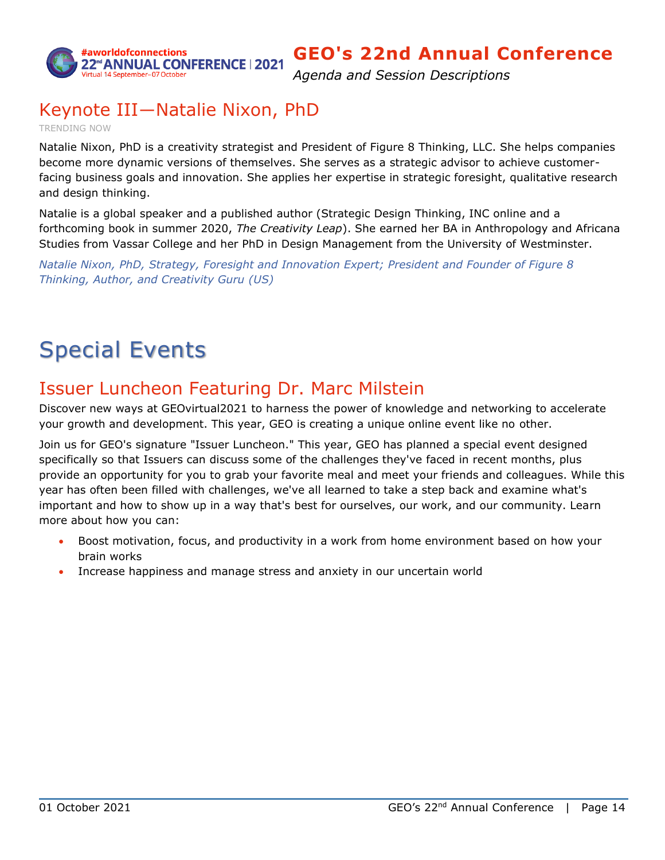

*Agenda and Session Descriptions*

## <span id="page-13-1"></span>Keynote III―Natalie Nixon, PhD

TRENDING NOW

Natalie Nixon, PhD is a creativity strategist and President of Figure 8 Thinking, LLC. She helps companies become more dynamic versions of themselves. She serves as a strategic advisor to achieve customerfacing business goals and innovation. She applies her expertise in strategic foresight, qualitative research and design thinking.

Natalie is a global speaker and a published author (Strategic Design Thinking, INC online and a forthcoming book in summer 2020, *The Creativity Leap*). She earned her BA in Anthropology and Africana Studies from Vassar College and her PhD in Design Management from the University of Westminster.

*Natalie Nixon, PhD, Strategy, Foresight and Innovation Expert; President and Founder of Figure 8 Thinking, Author, and Creativity Guru (US)*

# Special Events

## <span id="page-13-0"></span>Issuer Luncheon Featuring Dr. Marc Milstein

Discover new ways at GEOvirtual2021 to harness the power of knowledge and networking to accelerate your growth and development. This year, GEO is creating a unique online event like no other.

Join us for GEO's signature "Issuer Luncheon." This year, GEO has planned a special event designed specifically so that Issuers can discuss some of the challenges they've faced in recent months, plus provide an opportunity for you to grab your favorite meal and meet your friends and colleagues. While this year has often been filled with challenges, we've all learned to take a step back and examine what's important and how to show up in a way that's best for ourselves, our work, and our community. Learn more about how you can:

- Boost motivation, focus, and productivity in a work from home environment based on how your brain works
- Increase happiness and manage stress and anxiety in our uncertain world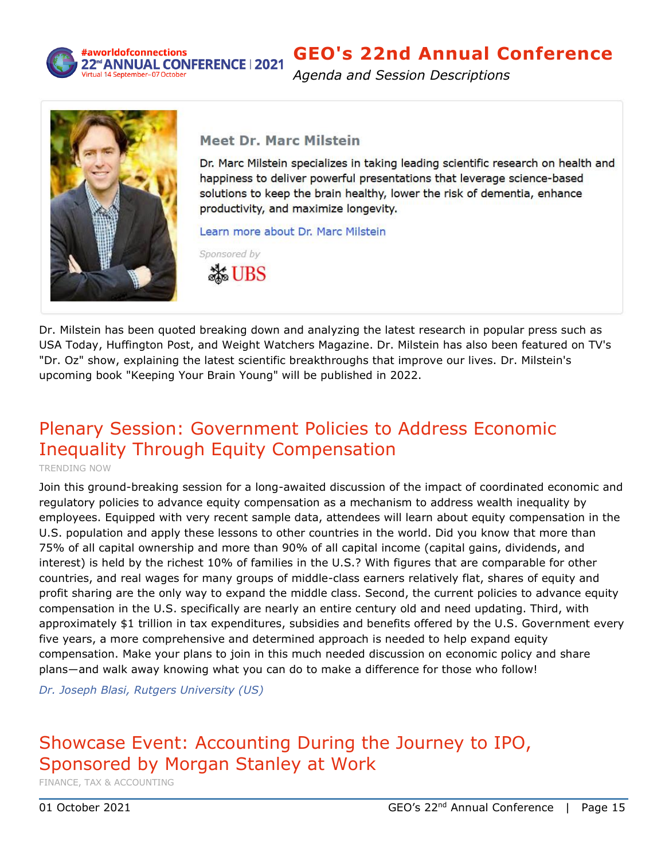

### #aworldofconnections 22<sup>rd</sup>ANNUAL CONFERENCE | 2021

## **GEO's 22nd Annual Conference**

*Agenda and Session Descriptions*



## **Meet Dr. Marc Milstein**

Dr. Marc Milstein specializes in taking leading scientific research on health and happiness to deliver powerful presentations that leverage science-based solutions to keep the brain healthy, lower the risk of dementia, enhance productivity, and maximize longevity.

Learn more about Dr. Marc Milstein



Dr. Milstein has been quoted breaking down and analyzing the latest research in popular press such as USA Today, Huffington Post, and Weight Watchers Magazine. Dr. Milstein has also been featured on TV's "Dr. Oz" show, explaining the latest scientific breakthroughs that improve our lives. Dr. Milstein's upcoming book "Keeping Your Brain Young" will be published in 2022.

# <span id="page-14-1"></span>Plenary Session: Government Policies to Address Economic Inequality Through Equity Compensation

TRENDING NOW

Join this ground-breaking session for a long-awaited discussion of the impact of coordinated economic and regulatory policies to advance equity compensation as a mechanism to address wealth inequality by employees. Equipped with very recent sample data, attendees will learn about equity compensation in the U.S. population and apply these lessons to other countries in the world. Did you know that more than 75% of all capital ownership and more than 90% of all capital income (capital gains, dividends, and interest) is held by the richest 10% of families in the U.S.? With figures that are comparable for other countries, and real wages for many groups of middle-class earners relatively flat, shares of equity and profit sharing are the only way to expand the middle class. Second, the current policies to advance equity compensation in the U.S. specifically are nearly an entire century old and need updating. Third, with approximately \$1 trillion in tax expenditures, subsidies and benefits offered by the U.S. Government every five years, a more comprehensive and determined approach is needed to help expand equity compensation. Make your plans to join in this much needed discussion on economic policy and share plans―and walk away knowing what you can do to make a difference for those who follow!

*Dr. Joseph Blasi, Rutgers University (US)*

## <span id="page-14-0"></span>Showcase Event: Accounting During the Journey to IPO, Sponsored by Morgan Stanley at Work

FINANCE, TAX & ACCOUNTING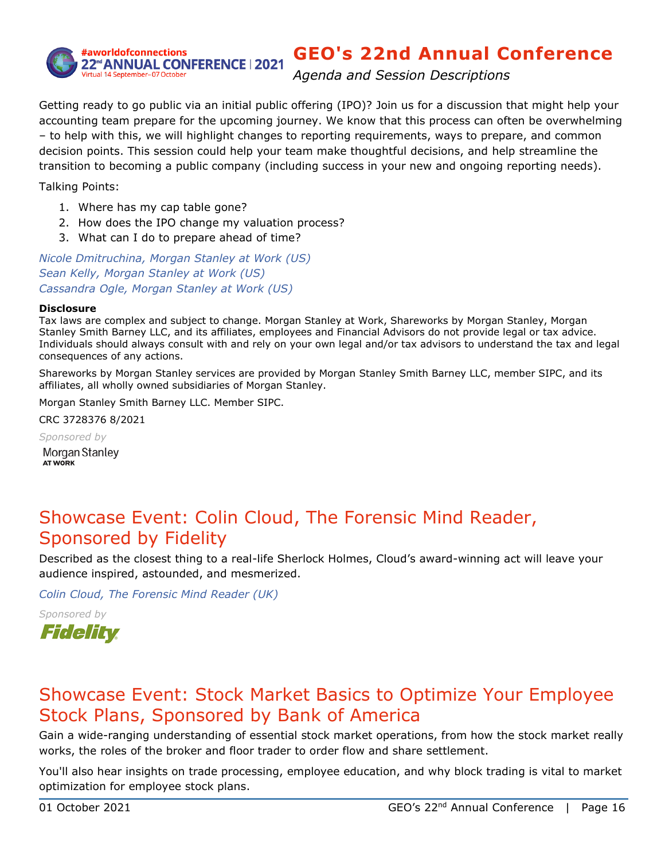

*Agenda and Session Descriptions*

Getting ready to go public via an initial public offering (IPO)? Join us for a discussion that might help your accounting team prepare for the upcoming journey. We know that this process can often be overwhelming – to help with this, we will highlight changes to reporting requirements, ways to prepare, and common decision points. This session could help your team make thoughtful decisions, and help streamline the transition to becoming a public company (including success in your new and ongoing reporting needs).

Talking Points:

- 1. Where has my cap table gone?
- 2. How does the IPO change my valuation process?
- 3. What can I do to prepare ahead of time?

*Nicole Dmitruchina, Morgan Stanley at Work (US) Sean Kelly, Morgan Stanley at Work (US) Cassandra Ogle, Morgan Stanley at Work (US)*

#### **Disclosure**

Tax laws are complex and subject to change. Morgan Stanley at Work, Shareworks by Morgan Stanley, Morgan Stanley Smith Barney LLC, and its affiliates, employees and Financial Advisors do not provide legal or tax advice. Individuals should always consult with and rely on your own legal and/or tax advisors to understand the tax and legal consequences of any actions.

Shareworks by Morgan Stanley services are provided by Morgan Stanley Smith Barney LLC, member SIPC, and its affiliates, all wholly owned subsidiaries of Morgan Stanley.

Morgan Stanley Smith Barney LLC. Member SIPC.

CRC 3728376 8/2021

*Sponsored by*

Morgan Stanley **AT WORK** 

## <span id="page-15-0"></span>Showcase Event: Colin Cloud, The Forensic Mind Reader, Sponsored by Fidelity

Described as the closest thing to a real-life Sherlock Holmes, Cloud's award-winning act will leave your audience inspired, astounded, and mesmerized.

*Colin Cloud, The Forensic Mind Reader (UK)*

*Sponsored by*



## <span id="page-15-1"></span>Showcase Event: Stock Market Basics to Optimize Your Employee Stock Plans, Sponsored by Bank of America

Gain a wide-ranging understanding of essential stock market operations, from how the stock market really works, the roles of the broker and floor trader to order flow and share settlement.

You'll also hear insights on trade processing, employee education, and why block trading is vital to market optimization for employee stock plans.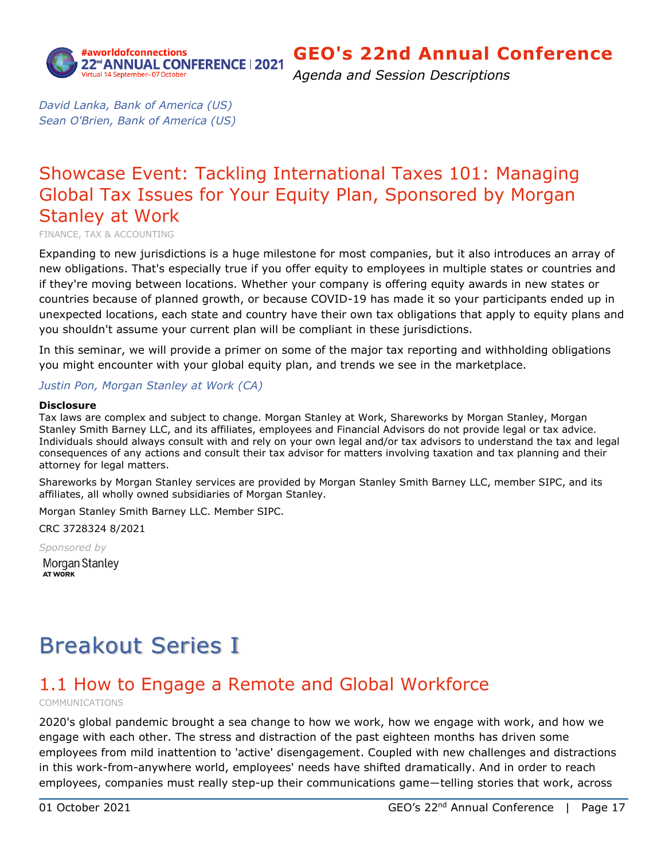

*Agenda and Session Descriptions*

*David Lanka, Bank of America (US) Sean O'Brien, Bank of America (US)*

## <span id="page-16-1"></span>Showcase Event: Tackling International Taxes 101: Managing Global Tax Issues for Your Equity Plan, Sponsored by Morgan Stanley at Work

FINANCE, TAX & ACCOUNTING

Expanding to new jurisdictions is a huge milestone for most companies, but it also introduces an array of new obligations. That's especially true if you offer equity to employees in multiple states or countries and if they're moving between locations. Whether your company is offering equity awards in new states or countries because of planned growth, or because COVID-19 has made it so your participants ended up in unexpected locations, each state and country have their own tax obligations that apply to equity plans and you shouldn't assume your current plan will be compliant in these jurisdictions.

In this seminar, we will provide a primer on some of the major tax reporting and withholding obligations you might encounter with your global equity plan, and trends we see in the marketplace.

### *Justin Pon, Morgan Stanley at Work (CA)*

#### **Disclosure**

Tax laws are complex and subject to change. Morgan Stanley at Work, Shareworks by Morgan Stanley, Morgan Stanley Smith Barney LLC, and its affiliates, employees and Financial Advisors do not provide legal or tax advice. Individuals should always consult with and rely on your own legal and/or tax advisors to understand the tax and legal consequences of any actions and consult their tax advisor for matters involving taxation and tax planning and their attorney for legal matters.

Shareworks by Morgan Stanley services are provided by Morgan Stanley Smith Barney LLC, member SIPC, and its affiliates, all wholly owned subsidiaries of Morgan Stanley.

Morgan Stanley Smith Barney LLC. Member SIPC.

CRC 3728324 8/2021

*Sponsored by* Morgan Stanley AT WORK

# Breakout Series I

## <span id="page-16-0"></span>1.1 How to Engage a Remote and Global Workforce

COMMUNICATIONS

2020's global pandemic brought a sea change to how we work, how we engage with work, and how we engage with each other. The stress and distraction of the past eighteen months has driven some employees from mild inattention to 'active' disengagement. Coupled with new challenges and distractions in this work-from-anywhere world, employees' needs have shifted dramatically. And in order to reach employees, companies must really step-up their communications game―telling stories that work, across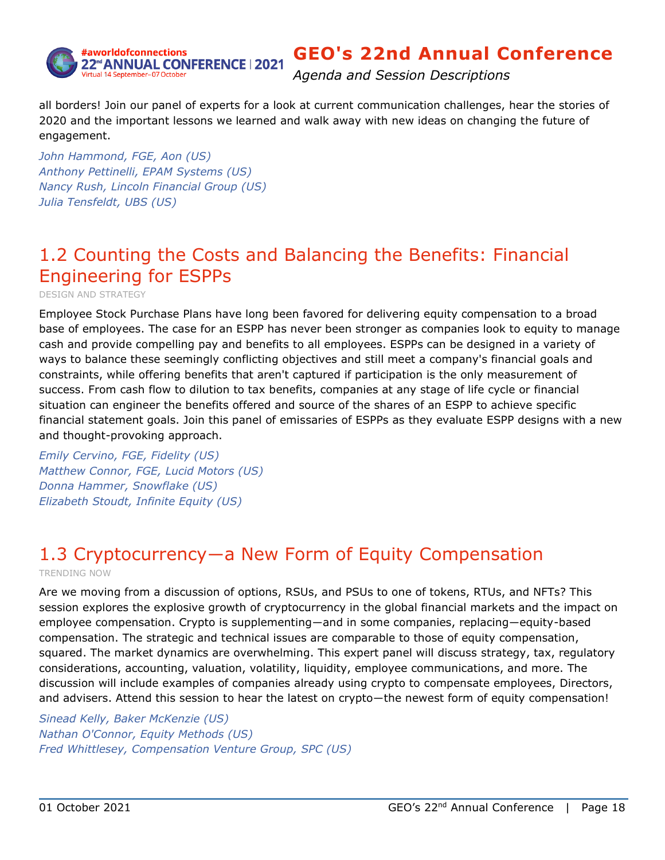

*Agenda and Session Descriptions*

all borders! Join our panel of experts for a look at current communication challenges, hear the stories of 2020 and the important lessons we learned and walk away with new ideas on changing the future of engagement.

*John Hammond, FGE, Aon (US) Anthony Pettinelli, EPAM Systems (US) Nancy Rush, Lincoln Financial Group (US) Julia Tensfeldt, UBS (US)*

## <span id="page-17-0"></span>1.2 Counting the Costs and Balancing the Benefits: Financial Engineering for ESPPs

DESIGN AND STRATEGY

Employee Stock Purchase Plans have long been favored for delivering equity compensation to a broad base of employees. The case for an ESPP has never been stronger as companies look to equity to manage cash and provide compelling pay and benefits to all employees. ESPPs can be designed in a variety of ways to balance these seemingly conflicting objectives and still meet a company's financial goals and constraints, while offering benefits that aren't captured if participation is the only measurement of success. From cash flow to dilution to tax benefits, companies at any stage of life cycle or financial situation can engineer the benefits offered and source of the shares of an ESPP to achieve specific financial statement goals. Join this panel of emissaries of ESPPs as they evaluate ESPP designs with a new and thought-provoking approach.

*Emily Cervino, FGE, Fidelity (US) Matthew Connor, FGE, Lucid Motors (US) Donna Hammer, Snowflake (US) Elizabeth Stoudt, Infinite Equity (US)*

# <span id="page-17-1"></span>1.3 Cryptocurrency―a New Form of Equity Compensation

TRENDING NOW

Are we moving from a discussion of options, RSUs, and PSUs to one of tokens, RTUs, and NFTs? This session explores the explosive growth of cryptocurrency in the global financial markets and the impact on employee compensation. Crypto is supplementing―and in some companies, replacing―equity-based compensation. The strategic and technical issues are comparable to those of equity compensation, squared. The market dynamics are overwhelming. This expert panel will discuss strategy, tax, regulatory considerations, accounting, valuation, volatility, liquidity, employee communications, and more. The discussion will include examples of companies already using crypto to compensate employees, Directors, and advisers. Attend this session to hear the latest on crypto—the newest form of equity compensation!

*Sinead Kelly, Baker McKenzie (US) Nathan O'Connor, Equity Methods (US) Fred Whittlesey, Compensation Venture Group, SPC (US)*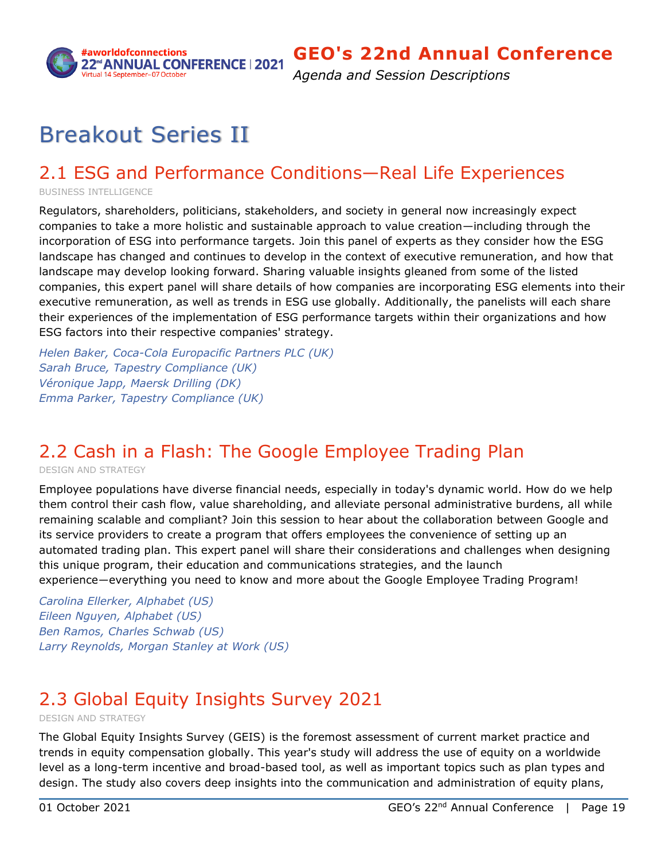

*Agenda and Session Descriptions*

# Breakout Series II

## <span id="page-18-0"></span>2.1 ESG and Performance Conditions—Real Life Experiences

BUSINESS INTELLIGENCE

Regulators, shareholders, politicians, stakeholders, and society in general now increasingly expect companies to take a more holistic and sustainable approach to value creation—including through the incorporation of ESG into performance targets. Join this panel of experts as they consider how the ESG landscape has changed and continues to develop in the context of executive remuneration, and how that landscape may develop looking forward. Sharing valuable insights gleaned from some of the listed companies, this expert panel will share details of how companies are incorporating ESG elements into their executive remuneration, as well as trends in ESG use globally. Additionally, the panelists will each share their experiences of the implementation of ESG performance targets within their organizations and how ESG factors into their respective companies' strategy.

*Helen Baker, Coca-Cola Europacific Partners PLC (UK) Sarah Bruce, Tapestry Compliance (UK) Véronique Japp, Maersk Drilling (DK) Emma Parker, Tapestry Compliance (UK)*

# <span id="page-18-1"></span>2.2 Cash in a Flash: The Google Employee Trading Plan

DESIGN AND STRATEGY

Employee populations have diverse financial needs, especially in today's dynamic world. How do we help them control their cash flow, value shareholding, and alleviate personal administrative burdens, all while remaining scalable and compliant? Join this session to hear about the collaboration between Google and its service providers to create a program that offers employees the convenience of setting up an automated trading plan. This expert panel will share their considerations and challenges when designing this unique program, their education and communications strategies, and the launch experience―everything you need to know and more about the Google Employee Trading Program!

*Carolina Ellerker, Alphabet (US) Eileen Nguyen, Alphabet (US) Ben Ramos, Charles Schwab (US) Larry Reynolds, Morgan Stanley at Work (US)*

# <span id="page-18-3"></span><span id="page-18-2"></span>2.3 Global Equity Insights Survey 2021

DESIGN AND STRATEGY

The Global Equity Insights Survey (GEIS) is the foremost assessment of current market practice and trends in equity compensation globally. This year's study will address the use of equity on a worldwide level as a long-term incentive and broad-based tool, as well as important topics such as plan types and design. The study also covers deep insights into the communication and administration of equity plans,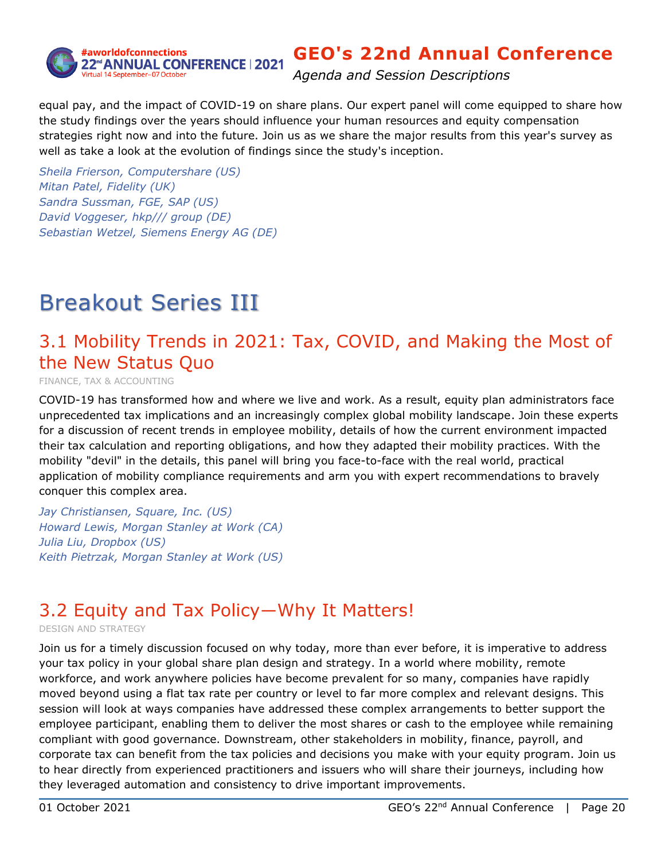

*Agenda and Session Descriptions*

equal pay, and the impact of COVID-19 on share plans. Our expert panel will come equipped to share how the study findings over the years should influence your human resources and equity compensation strategies right now and into the future. Join us as we share the major results from this year's survey as well as take a look at the evolution of findings since the study's inception.

*Sheila Frierson, Computershare (US) Mitan Patel, Fidelity (UK) Sandra Sussman, FGE, SAP (US) David Voggeser, hkp/// group (DE) Sebastian Wetzel, Siemens Energy AG (DE)*

# Breakout Series III

## <span id="page-19-0"></span>3.1 Mobility Trends in 2021: Tax, COVID, and Making the Most of the New Status Quo

FINANCE, TAX & ACCOUNTING

COVID-19 has transformed how and where we live and work. As a result, equity plan administrators face unprecedented tax implications and an increasingly complex global mobility landscape. Join these experts for a discussion of recent trends in employee mobility, details of how the current environment impacted their tax calculation and reporting obligations, and how they adapted their mobility practices. With the mobility "devil" in the details, this panel will bring you face-to-face with the real world, practical application of mobility compliance requirements and arm you with expert recommendations to bravely conquer this complex area.

*Jay Christiansen, Square, Inc. (US) Howard Lewis, Morgan Stanley at Work (CA) Julia Liu, Dropbox (US) Keith Pietrzak, Morgan Stanley at Work (US)*

## <span id="page-19-1"></span>3.2 Equity and Tax Policy―Why It Matters!

DESIGN AND STRATEGY

Join us for a timely discussion focused on why today, more than ever before, it is imperative to address your tax policy in your global share plan design and strategy. In a world where mobility, remote workforce, and work anywhere policies have become prevalent for so many, companies have rapidly moved beyond using a flat tax rate per country or level to far more complex and relevant designs. This session will look at ways companies have addressed these complex arrangements to better support the employee participant, enabling them to deliver the most shares or cash to the employee while remaining compliant with good governance. Downstream, other stakeholders in mobility, finance, payroll, and corporate tax can benefit from the tax policies and decisions you make with your equity program. Join us to hear directly from experienced practitioners and issuers who will share their journeys, including how they leveraged automation and consistency to drive important improvements.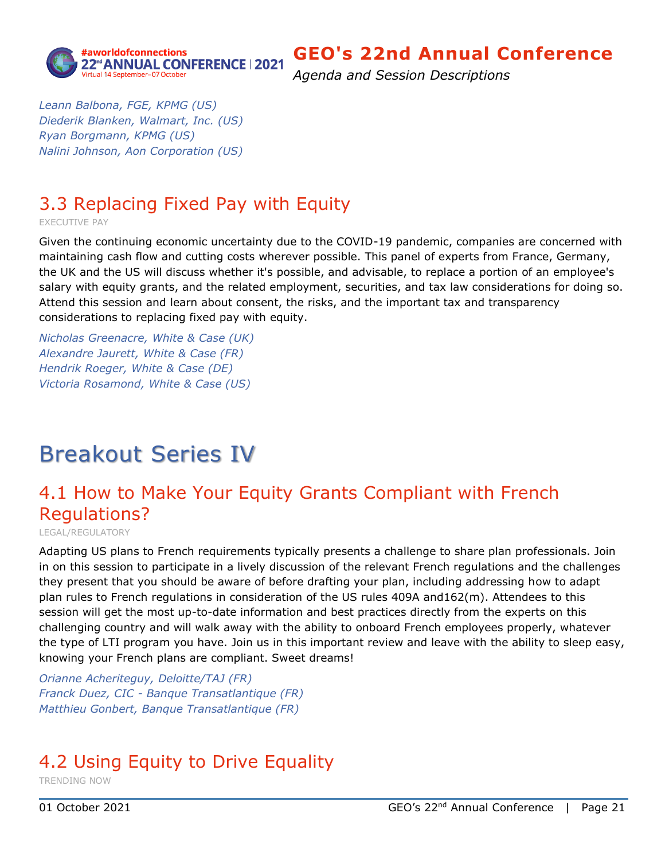

*Agenda and Session Descriptions*

*Leann Balbona, FGE, KPMG (US) Diederik Blanken, Walmart, Inc. (US) Ryan Borgmann, KPMG (US) Nalini Johnson, Aon Corporation (US)*

## <span id="page-20-0"></span>3.3 Replacing Fixed Pay with Equity

EXECUTIVE PAY

Given the continuing economic uncertainty due to the COVID-19 pandemic, companies are concerned with maintaining cash flow and cutting costs wherever possible. This panel of experts from France, Germany, the UK and the US will discuss whether it's possible, and advisable, to replace a portion of an employee's salary with equity grants, and the related employment, securities, and tax law considerations for doing so. Attend this session and learn about consent, the risks, and the important tax and transparency considerations to replacing fixed pay with equity.

*Nicholas Greenacre, White & Case (UK) Alexandre Jaurett, White & Case (FR) Hendrik Roeger, White & Case (DE) Victoria Rosamond, White & Case (US)*

# Breakout Series IV

## <span id="page-20-1"></span>4.1 How to Make Your Equity Grants Compliant with French Regulations?

LEGAL/REGULATORY

Adapting US plans to French requirements typically presents a challenge to share plan professionals. Join in on this session to participate in a lively discussion of the relevant French regulations and the challenges they present that you should be aware of before drafting your plan, including addressing how to adapt plan rules to French regulations in consideration of the US rules 409A and162(m). Attendees to this session will get the most up-to-date information and best practices directly from the experts on this challenging country and will walk away with the ability to onboard French employees properly, whatever the type of LTI program you have. Join us in this important review and leave with the ability to sleep easy, knowing your French plans are compliant. Sweet dreams!

*Orianne Acheriteguy, Deloitte/TAJ (FR) Franck Duez, CIC - Banque Transatlantique (FR) Matthieu Gonbert, Banque Transatlantique (FR)*

# <span id="page-20-2"></span>4.2 Using Equity to Drive Equality

TRENDING NOW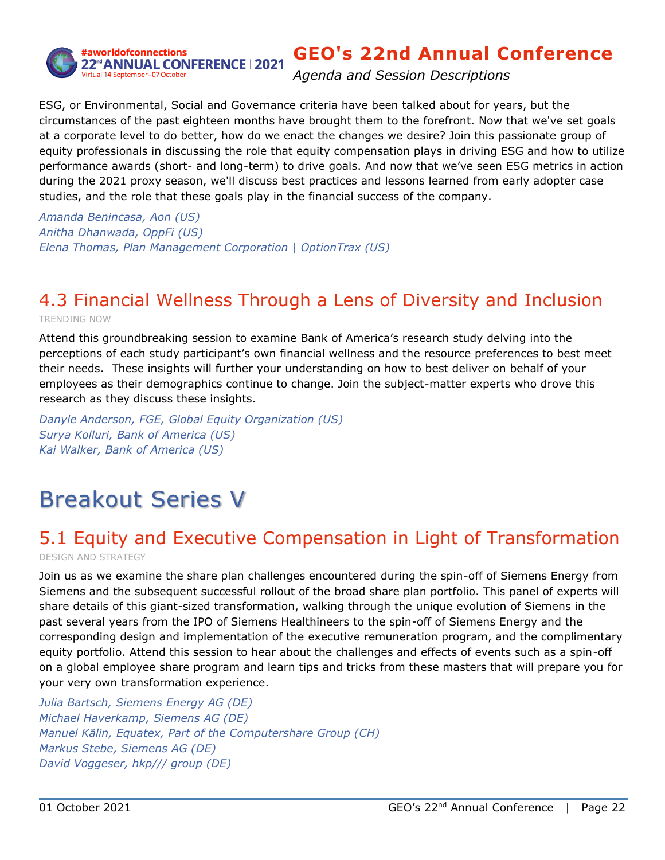

*Agenda and Session Descriptions*

ESG, or Environmental, Social and Governance criteria have been talked about for years, but the circumstances of the past eighteen months have brought them to the forefront. Now that we've set goals at a corporate level to do better, how do we enact the changes we desire? Join this passionate group of equity professionals in discussing the role that equity compensation plays in driving ESG and how to utilize performance awards (short- and long-term) to drive goals. And now that we've seen ESG metrics in action during the 2021 proxy season, we'll discuss best practices and lessons learned from early adopter case studies, and the role that these goals play in the financial success of the company.

*Amanda Benincasa, Aon (US) Anitha Dhanwada, OppFi (US) Elena Thomas, Plan Management Corporation | OptionTrax (US)*

## <span id="page-21-0"></span>4.3 Financial Wellness Through a Lens of Diversity and Inclusion TRENDING NOW

Attend this groundbreaking session to examine Bank of America's research study delving into the perceptions of each study participant's own financial wellness and the resource preferences to best meet their needs. These insights will further your understanding on how to best deliver on behalf of your employees as their demographics continue to change. Join the subject-matter experts who drove this research as they discuss these insights.

*Danyle Anderson, FGE, Global Equity Organization (US) Surya Kolluri, Bank of America (US) Kai Walker, Bank of America (US)*

# Breakout Series V

# <span id="page-21-1"></span>5.1 Equity and Executive Compensation in Light of Transformation

DESIGN AND STRATEGY

Join us as we examine the share plan challenges encountered during the spin-off of Siemens Energy from Siemens and the subsequent successful rollout of the broad share plan portfolio. This panel of experts will share details of this giant-sized transformation, walking through the unique evolution of Siemens in the past several years from the IPO of Siemens Healthineers to the spin-off of Siemens Energy and the corresponding design and implementation of the executive remuneration program, and the complimentary equity portfolio. Attend this session to hear about the challenges and effects of events such as a spin-off on a global employee share program and learn tips and tricks from these masters that will prepare you for your very own transformation experience.

*Julia Bartsch, Siemens Energy AG (DE) Michael Haverkamp, Siemens AG (DE) Manuel Kälin, Equatex, Part of the Computershare Group (CH) Markus Stebe, Siemens AG (DE) David Voggeser, hkp/// group (DE)*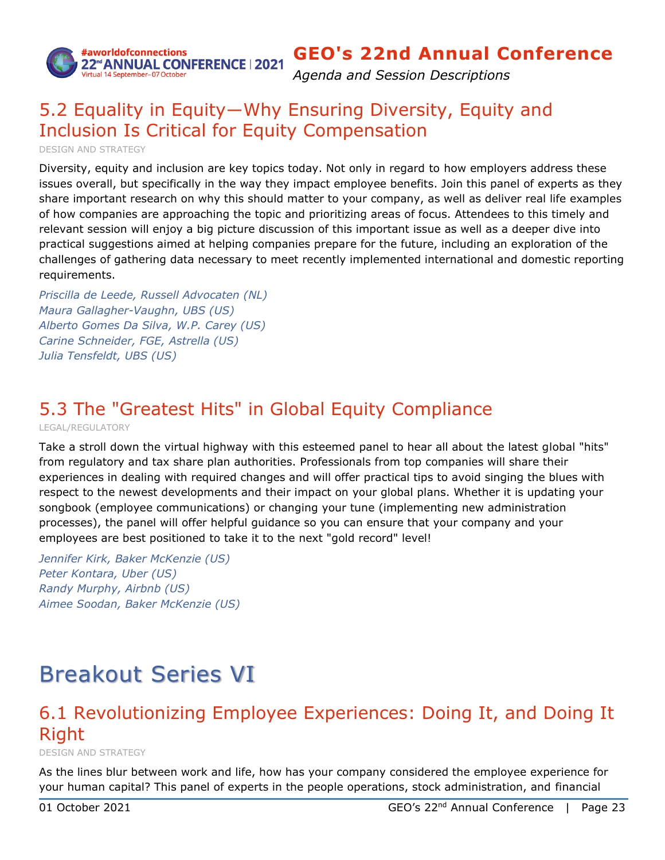

*Agenda and Session Descriptions*

## <span id="page-22-0"></span>5.2 Equality in Equity―Why Ensuring Diversity, Equity and Inclusion Is Critical for Equity Compensation

DESIGN AND STRATEGY

Diversity, equity and inclusion are key topics today. Not only in regard to how employers address these issues overall, but specifically in the way they impact employee benefits. Join this panel of experts as they share important research on why this should matter to your company, as well as deliver real life examples of how companies are approaching the topic and prioritizing areas of focus. Attendees to this timely and relevant session will enjoy a big picture discussion of this important issue as well as a deeper dive into practical suggestions aimed at helping companies prepare for the future, including an exploration of the challenges of gathering data necessary to meet recently implemented international and domestic reporting requirements.

*Priscilla de Leede, Russell Advocaten (NL) Maura Gallagher-Vaughn, UBS (US) Alberto Gomes Da Silva, W.P. Carey (US) Carine Schneider, FGE, Astrella (US) Julia Tensfeldt, UBS (US)*

## <span id="page-22-1"></span>5.3 The "Greatest Hits" in Global Equity Compliance

LEGAL/REGULATORY

Take a stroll down the virtual highway with this esteemed panel to hear all about the latest global "hits" from regulatory and tax share plan authorities. Professionals from top companies will share their experiences in dealing with required changes and will offer practical tips to avoid singing the blues with respect to the newest developments and their impact on your global plans. Whether it is updating your songbook (employee communications) or changing your tune (implementing new administration processes), the panel will offer helpful guidance so you can ensure that your company and your employees are best positioned to take it to the next "gold record" level!

*Jennifer Kirk, Baker McKenzie (US) Peter Kontara, Uber (US) Randy Murphy, Airbnb (US) Aimee Soodan, Baker McKenzie (US)*

# Breakout Series VI

## <span id="page-22-2"></span>6.1 Revolutionizing Employee Experiences: Doing It, and Doing It Right

DESIGN AND STRATEGY

As the lines blur between work and life, how has your company considered the employee experience for your human capital? This panel of experts in the people operations, stock administration, and financial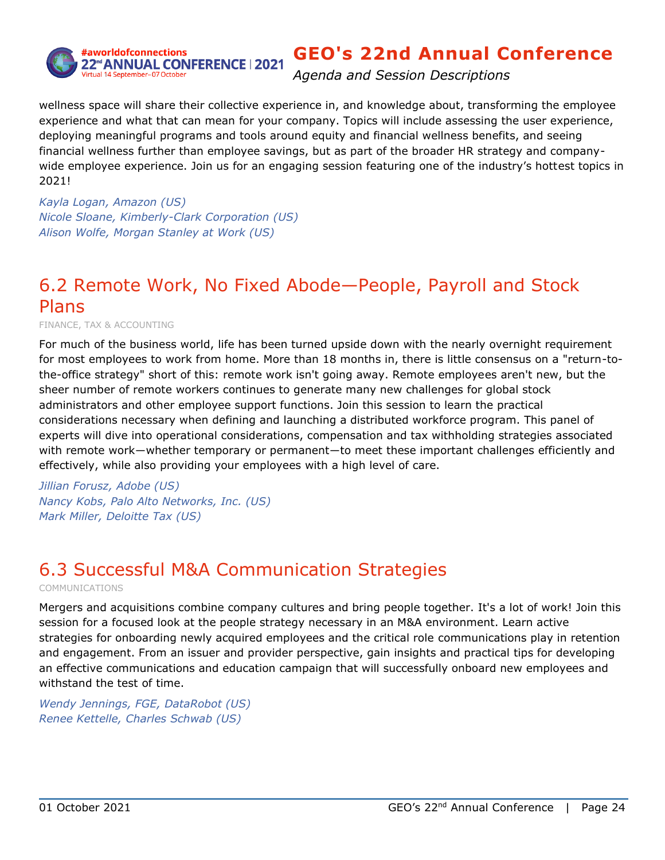

*Agenda and Session Descriptions*

wellness space will share their collective experience in, and knowledge about, transforming the employee experience and what that can mean for your company. Topics will include assessing the user experience, deploying meaningful programs and tools around equity and financial wellness benefits, and seeing financial wellness further than employee savings, but as part of the broader HR strategy and companywide employee experience. Join us for an engaging session featuring one of the industry's hottest topics in 2021!

*Kayla Logan, Amazon (US) Nicole Sloane, Kimberly-Clark Corporation (US) Alison Wolfe, Morgan Stanley at Work (US)*

## <span id="page-23-0"></span>6.2 Remote Work, No Fixed Abode—People, Payroll and Stock Plans

FINANCE, TAX & ACCOUNTING

For much of the business world, life has been turned upside down with the nearly overnight requirement for most employees to work from home. More than 18 months in, there is little consensus on a "return-tothe-office strategy" short of this: remote work isn't going away. Remote employees aren't new, but the sheer number of remote workers continues to generate many new challenges for global stock administrators and other employee support functions. Join this session to learn the practical considerations necessary when defining and launching a distributed workforce program. This panel of experts will dive into operational considerations, compensation and tax withholding strategies associated with remote work—whether temporary or permanent—to meet these important challenges efficiently and effectively, while also providing your employees with a high level of care.

*Jillian Forusz, Adobe (US) Nancy Kobs, Palo Alto Networks, Inc. (US) Mark Miller, Deloitte Tax (US)*

## <span id="page-23-1"></span>6.3 Successful M&A Communication Strategies

COMMUNICATIONS

Mergers and acquisitions combine company cultures and bring people together. It's a lot of work! Join this session for a focused look at the people strategy necessary in an M&A environment. Learn active strategies for onboarding newly acquired employees and the critical role communications play in retention and engagement. From an issuer and provider perspective, gain insights and practical tips for developing an effective communications and education campaign that will successfully onboard new employees and withstand the test of time.

*Wendy Jennings, FGE, DataRobot (US) Renee Kettelle, Charles Schwab (US)*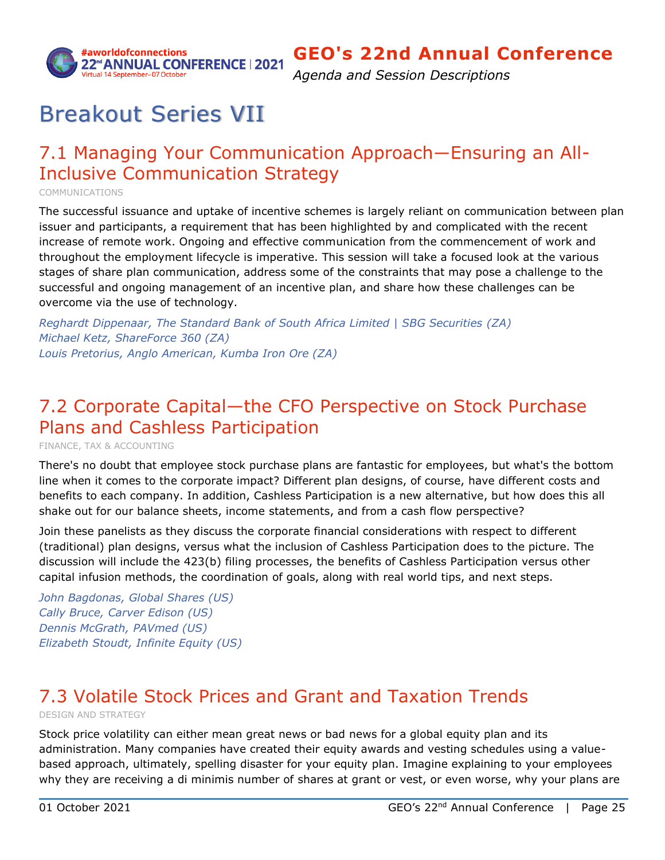

*Agenda and Session Descriptions*

# Breakout Series VII

## <span id="page-24-0"></span>7.1 Managing Your Communication Approach―Ensuring an All-Inclusive Communication Strategy

COMMUNICATIONS

The successful issuance and uptake of incentive schemes is largely reliant on communication between plan issuer and participants, a requirement that has been highlighted by and complicated with the recent increase of remote work. Ongoing and effective communication from the commencement of work and throughout the employment lifecycle is imperative. This session will take a focused look at the various stages of share plan communication, address some of the constraints that may pose a challenge to the successful and ongoing management of an incentive plan, and share how these challenges can be overcome via the use of technology.

*Reghardt Dippenaar, The Standard Bank of South Africa Limited | SBG Securities (ZA) Michael Ketz, ShareForce 360 (ZA) Louis Pretorius, Anglo American, Kumba Iron Ore (ZA)*

## <span id="page-24-1"></span>7.2 Corporate Capital—the CFO Perspective on Stock Purchase Plans and Cashless Participation

FINANCE, TAX & ACCOUNTING

There's no doubt that employee stock purchase plans are fantastic for employees, but what's the bottom line when it comes to the corporate impact? Different plan designs, of course, have different costs and benefits to each company. In addition, Cashless Participation is a new alternative, but how does this all shake out for our balance sheets, income statements, and from a cash flow perspective?

Join these panelists as they discuss the corporate financial considerations with respect to different (traditional) plan designs, versus what the inclusion of Cashless Participation does to the picture. The discussion will include the 423(b) filing processes, the benefits of Cashless Participation versus other capital infusion methods, the coordination of goals, along with real world tips, and next steps.

*John Bagdonas, Global Shares (US) Cally Bruce, Carver Edison (US) Dennis McGrath, PAVmed (US) Elizabeth Stoudt, Infinite Equity (US)*

## <span id="page-24-2"></span>7.3 Volatile Stock Prices and Grant and Taxation Trends

DESIGN AND STRATEGY

Stock price volatility can either mean great news or bad news for a global equity plan and its administration. Many companies have created their equity awards and vesting schedules using a valuebased approach, ultimately, spelling disaster for your equity plan. Imagine explaining to your employees why they are receiving a di minimis number of shares at grant or vest, or even worse, why your plans are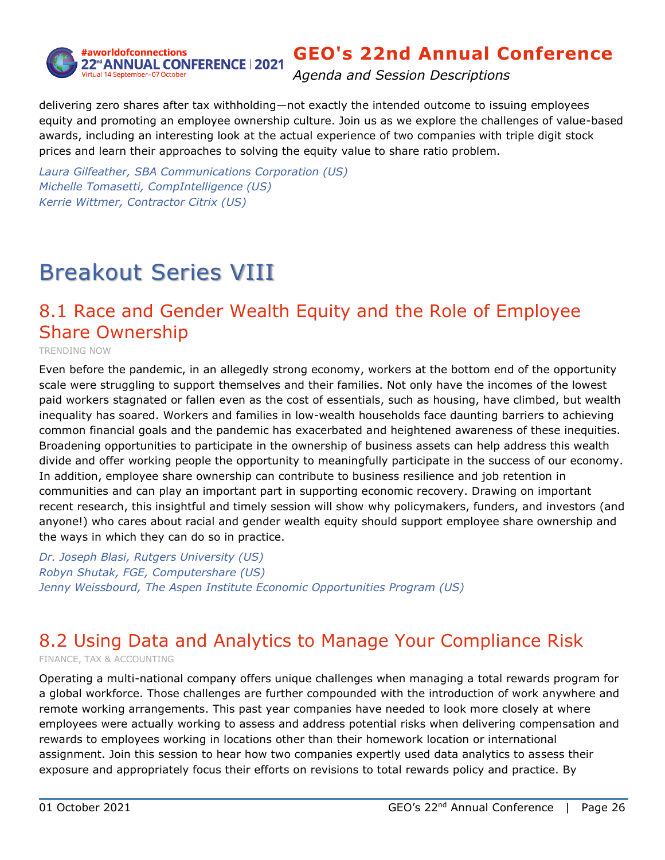

*Agenda and Session Descriptions*

delivering zero shares after tax withholding―not exactly the intended outcome to issuing employees equity and promoting an employee ownership culture. Join us as we explore the challenges of value-based awards, including an interesting look at the actual experience of two companies with triple digit stock prices and learn their approaches to solving the equity value to share ratio problem.

*Laura Gilfeather, SBA Communications Corporation (US) Michelle Tomasetti, CompIntelligence (US) Kerrie Wittmer, Contractor Citrix (US)*

# Breakout Series VIII

## <span id="page-25-0"></span>8.1 Race and Gender Wealth Equity and the Role of Employee Share Ownership

TRENDING NOW

Even before the pandemic, in an allegedly strong economy, workers at the bottom end of the opportunity scale were struggling to support themselves and their families. Not only have the incomes of the lowest paid workers stagnated or fallen even as the cost of essentials, such as housing, have climbed, but wealth inequality has soared. Workers and families in low-wealth households face daunting barriers to achieving common financial goals and the pandemic has exacerbated and heightened awareness of these inequities. Broadening opportunities to participate in the ownership of business assets can help address this wealth divide and offer working people the opportunity to meaningfully participate in the success of our economy. In addition, employee share ownership can contribute to business resilience and job retention in communities and can play an important part in supporting economic recovery. Drawing on important recent research, this insightful and timely session will show why policymakers, funders, and investors (and anyone!) who cares about racial and gender wealth equity should support employee share ownership and the ways in which they can do so in practice.

*Dr. Joseph Blasi, Rutgers University (US) Robyn Shutak, FGE, Computershare (US) Jenny Weissbourd, The Aspen Institute Economic Opportunities Program (US)*

## <span id="page-25-1"></span>8.2 Using Data and Analytics to Manage Your Compliance Risk

FINANCE, TAX & ACCOUNTING

Operating a multi-national company offers unique challenges when managing a total rewards program for a global workforce. Those challenges are further compounded with the introduction of work anywhere and remote working arrangements. This past year companies have needed to look more closely at where employees were actually working to assess and address potential risks when delivering compensation and rewards to employees working in locations other than their homework location or international assignment. Join this session to hear how two companies expertly used data analytics to assess their exposure and appropriately focus their efforts on revisions to total rewards policy and practice. By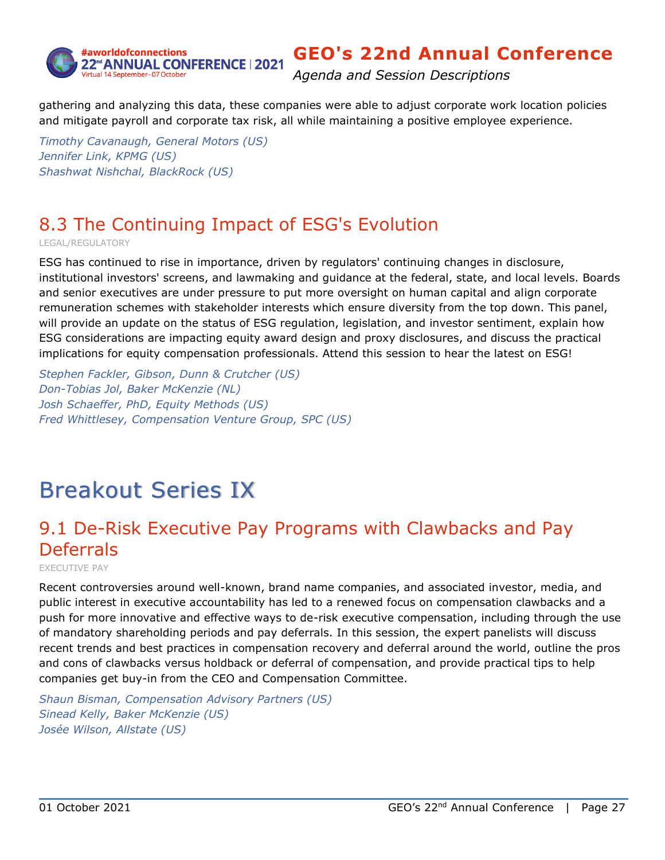

*Agenda and Session Descriptions*

gathering and analyzing this data, these companies were able to adjust corporate work location policies and mitigate payroll and corporate tax risk, all while maintaining a positive employee experience.

*Timothy Cavanaugh, General Motors (US) Jennifer Link, KPMG (US) Shashwat Nishchal, BlackRock (US)*

# <span id="page-26-0"></span>8.3 The Continuing Impact of ESG's Evolution

LEGAL/REGULATORY

ESG has continued to rise in importance, driven by regulators' continuing changes in disclosure, institutional investors' screens, and lawmaking and guidance at the federal, state, and local levels. Boards and senior executives are under pressure to put more oversight on human capital and align corporate remuneration schemes with stakeholder interests which ensure diversity from the top down. This panel, will provide an update on the status of ESG regulation, legislation, and investor sentiment, explain how ESG considerations are impacting equity award design and proxy disclosures, and discuss the practical implications for equity compensation professionals. Attend this session to hear the latest on ESG!

*Stephen Fackler, Gibson, Dunn & Crutcher (US) Don-Tobias Jol, Baker McKenzie (NL) Josh Schaeffer, PhD, Equity Methods (US) Fred Whittlesey, Compensation Venture Group, SPC (US)*

# Breakout Series IX

## <span id="page-26-1"></span>9.1 De-Risk Executive Pay Programs with Clawbacks and Pay Deferrals

EXECUTIVE PAY

Recent controversies around well-known, brand name companies, and associated investor, media, and public interest in executive accountability has led to a renewed focus on compensation clawbacks and a push for more innovative and effective ways to de-risk executive compensation, including through the use of mandatory shareholding periods and pay deferrals. In this session, the expert panelists will discuss recent trends and best practices in compensation recovery and deferral around the world, outline the pros and cons of clawbacks versus holdback or deferral of compensation, and provide practical tips to help companies get buy-in from the CEO and Compensation Committee.

*Shaun Bisman, Compensation Advisory Partners (US) Sinead Kelly, Baker McKenzie (US) Josée Wilson, Allstate (US)*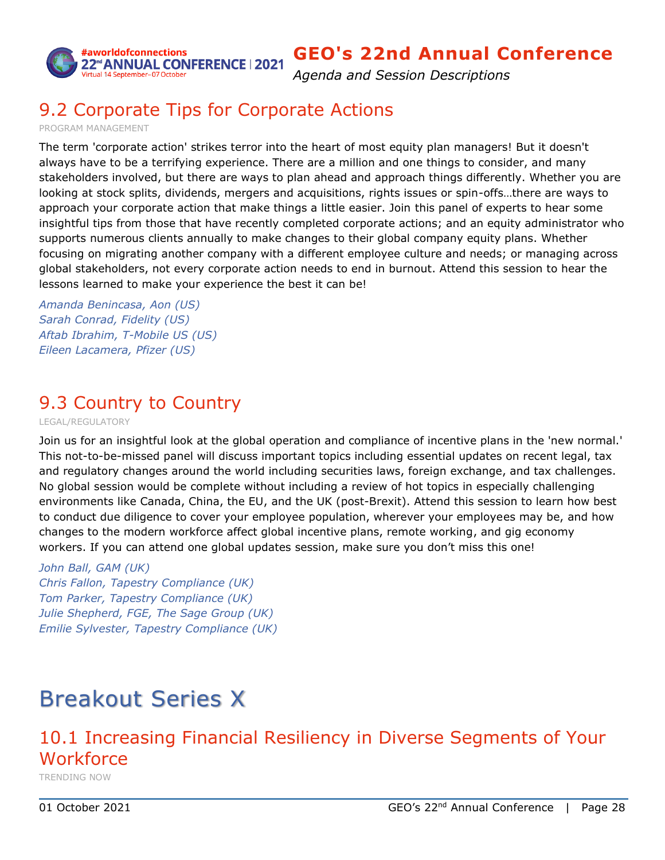

*Agenda and Session Descriptions*

## <span id="page-27-0"></span>9.2 Corporate Tips for Corporate Actions

PROGRAM MANAGEMENT

The term 'corporate action' strikes terror into the heart of most equity plan managers! But it doesn't always have to be a terrifying experience. There are a million and one things to consider, and many stakeholders involved, but there are ways to plan ahead and approach things differently. Whether you are looking at stock splits, dividends, mergers and acquisitions, rights issues or spin-offs…there are ways to approach your corporate action that make things a little easier. Join this panel of experts to hear some insightful tips from those that have recently completed corporate actions; and an equity administrator who supports numerous clients annually to make changes to their global company equity plans. Whether focusing on migrating another company with a different employee culture and needs; or managing across global stakeholders, not every corporate action needs to end in burnout. Attend this session to hear the lessons learned to make your experience the best it can be!

*Amanda Benincasa, Aon (US) Sarah Conrad, Fidelity (US) Aftab Ibrahim, T-Mobile US (US) Eileen Lacamera, Pfizer (US)*

## <span id="page-27-1"></span>9.3 Country to Country

LEGAL/REGULATORY

Join us for an insightful look at the global operation and compliance of incentive plans in the 'new normal.' This not-to-be-missed panel will discuss important topics including essential updates on recent legal, tax and regulatory changes around the world including securities laws, foreign exchange, and tax challenges. No global session would be complete without including a review of hot topics in especially challenging environments like Canada, China, the EU, and the UK (post-Brexit). Attend this session to learn how best to conduct due diligence to cover your employee population, wherever your employees may be, and how changes to the modern workforce affect global incentive plans, remote working, and gig economy workers. If you can attend one global updates session, make sure you don't miss this one!

### *John Ball, GAM (UK)*

*Chris Fallon, Tapestry Compliance (UK) Tom Parker, Tapestry Compliance (UK) Julie Shepherd, FGE, The Sage Group (UK) Emilie Sylvester, Tapestry Compliance (UK)*

# Breakout Series X

## <span id="page-27-2"></span>10.1 Increasing Financial Resiliency in Diverse Segments of Your Workforce

TRENDING NOW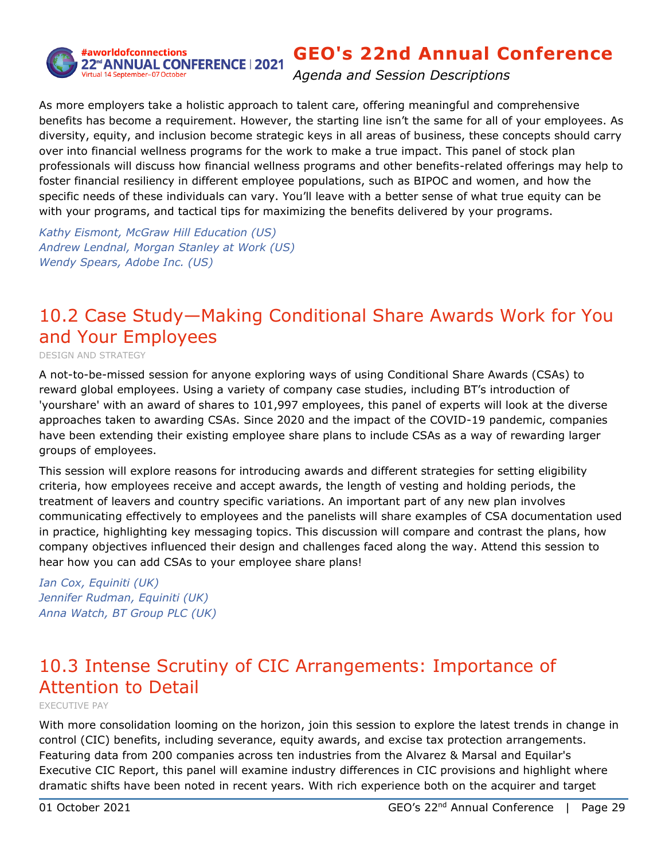

*Agenda and Session Descriptions*

As more employers take a holistic approach to talent care, offering meaningful and comprehensive benefits has become a requirement. However, the starting line isn't the same for all of your employees. As diversity, equity, and inclusion become strategic keys in all areas of business, these concepts should carry over into financial wellness programs for the work to make a true impact. This panel of stock plan professionals will discuss how financial wellness programs and other benefits-related offerings may help to foster financial resiliency in different employee populations, such as BIPOC and women, and how the specific needs of these individuals can vary. You'll leave with a better sense of what true equity can be with your programs, and tactical tips for maximizing the benefits delivered by your programs.

*Kathy Eismont, McGraw Hill Education (US) Andrew Lendnal, Morgan Stanley at Work (US) Wendy Spears, Adobe Inc. (US)*

## <span id="page-28-0"></span>10.2 Case Study—Making Conditional Share Awards Work for You and Your Employees

DESIGN AND STRATEGY

A not-to-be-missed session for anyone exploring ways of using Conditional Share Awards (CSAs) to reward global employees. Using a variety of company case studies, including BT's introduction of 'yourshare' with an award of shares to 101,997 employees, this panel of experts will look at the diverse approaches taken to awarding CSAs. Since 2020 and the impact of the COVID-19 pandemic, companies have been extending their existing employee share plans to include CSAs as a way of rewarding larger groups of employees.

This session will explore reasons for introducing awards and different strategies for setting eligibility criteria, how employees receive and accept awards, the length of vesting and holding periods, the treatment of leavers and country specific variations. An important part of any new plan involves communicating effectively to employees and the panelists will share examples of CSA documentation used in practice, highlighting key messaging topics. This discussion will compare and contrast the plans, how company objectives influenced their design and challenges faced along the way. Attend this session to hear how you can add CSAs to your employee share plans!

*Ian Cox, Equiniti (UK) Jennifer Rudman, Equiniti (UK) Anna Watch, BT Group PLC (UK)*

## <span id="page-28-1"></span>10.3 Intense Scrutiny of CIC Arrangements: Importance of Attention to Detail

EXECUTIVE PAY

With more consolidation looming on the horizon, join this session to explore the latest trends in change in control (CIC) benefits, including severance, equity awards, and excise tax protection arrangements. Featuring data from 200 companies across ten industries from the Alvarez & Marsal and Equilar's Executive CIC Report, this panel will examine industry differences in CIC provisions and highlight where dramatic shifts have been noted in recent years. With rich experience both on the acquirer and target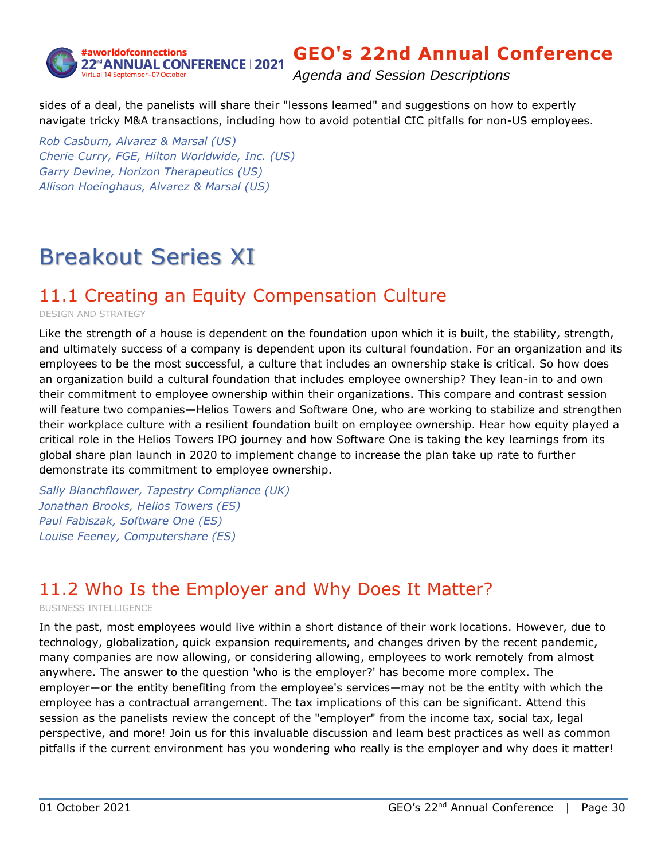

*Agenda and Session Descriptions*

sides of a deal, the panelists will share their "lessons learned" and suggestions on how to expertly navigate tricky M&A transactions, including how to avoid potential CIC pitfalls for non-US employees.

*Rob Casburn, Alvarez & Marsal (US) Cherie Curry, FGE, Hilton Worldwide, Inc. (US) Garry Devine, Horizon Therapeutics (US) Allison Hoeinghaus, Alvarez & Marsal (US)*

# Breakout Series XI

## <span id="page-29-0"></span>11.1 Creating an Equity Compensation Culture

DESIGN AND STRATEGY

Like the strength of a house is dependent on the foundation upon which it is built, the stability, strength, and ultimately success of a company is dependent upon its cultural foundation. For an organization and its employees to be the most successful, a culture that includes an ownership stake is critical. So how does an organization build a cultural foundation that includes employee ownership? They lean-in to and own their commitment to employee ownership within their organizations. This compare and contrast session will feature two companies—Helios Towers and Software One, who are working to stabilize and strengthen their workplace culture with a resilient foundation built on employee ownership. Hear how equity played a critical role in the Helios Towers IPO journey and how Software One is taking the key learnings from its global share plan launch in 2020 to implement change to increase the plan take up rate to further demonstrate its commitment to employee ownership.

*Sally Blanchflower, Tapestry Compliance (UK) Jonathan Brooks, Helios Towers (ES) Paul Fabiszak, Software One (ES) Louise Feeney, Computershare (ES)*

## <span id="page-29-1"></span>11.2 Who Is the Employer and Why Does It Matter?

BUSINESS INTELLIGENCE

In the past, most employees would live within a short distance of their work locations. However, due to technology, globalization, quick expansion requirements, and changes driven by the recent pandemic, many companies are now allowing, or considering allowing, employees to work remotely from almost anywhere. The answer to the question 'who is the employer?' has become more complex. The employer―or the entity benefiting from the employee's services―may not be the entity with which the employee has a contractual arrangement. The tax implications of this can be significant. Attend this session as the panelists review the concept of the "employer" from the income tax, social tax, legal perspective, and more! Join us for this invaluable discussion and learn best practices as well as common pitfalls if the current environment has you wondering who really is the employer and why does it matter!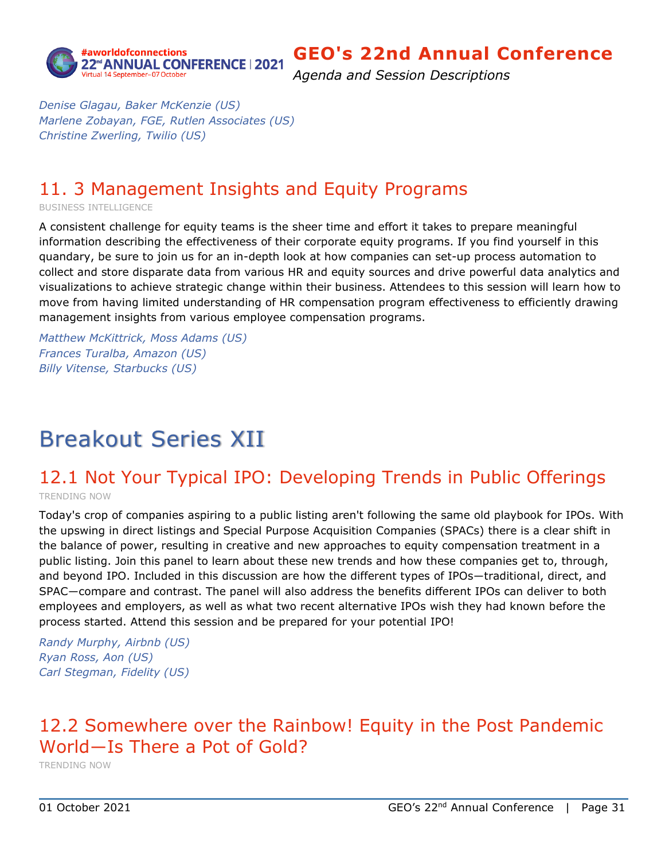

*Agenda and Session Descriptions*

*Denise Glagau, Baker McKenzie (US) Marlene Zobayan, FGE, Rutlen Associates (US) Christine Zwerling, Twilio (US)*

## <span id="page-30-0"></span>11. 3 Management Insights and Equity Programs

BUSINESS INTELLIGENCE

A consistent challenge for equity teams is the sheer time and effort it takes to prepare meaningful information describing the effectiveness of their corporate equity programs. If you find yourself in this quandary, be sure to join us for an in-depth look at how companies can set-up process automation to collect and store disparate data from various HR and equity sources and drive powerful data analytics and visualizations to achieve strategic change within their business. Attendees to this session will learn how to move from having limited understanding of HR compensation program effectiveness to efficiently drawing management insights from various employee compensation programs.

*Matthew McKittrick, Moss Adams (US) Frances Turalba, Amazon (US) Billy Vitense, Starbucks (US)*

# Breakout Series XII

# <span id="page-30-1"></span>12.1 Not Your Typical IPO: Developing Trends in Public Offerings

TRENDING NOW

Today's crop of companies aspiring to a public listing aren't following the same old playbook for IPOs. With the upswing in direct listings and Special Purpose Acquisition Companies (SPACs) there is a clear shift in the balance of power, resulting in creative and new approaches to equity compensation treatment in a public listing. Join this panel to learn about these new trends and how these companies get to, through, and beyond IPO. Included in this discussion are how the different types of IPOs―traditional, direct, and SPAC―compare and contrast. The panel will also address the benefits different IPOs can deliver to both employees and employers, as well as what two recent alternative IPOs wish they had known before the process started. Attend this session and be prepared for your potential IPO!

*Randy Murphy, Airbnb (US) Ryan Ross, Aon (US) Carl Stegman, Fidelity (US)*

## <span id="page-30-2"></span>12.2 Somewhere over the Rainbow! Equity in the Post Pandemic World―Is There a Pot of Gold?

TRENDING NOW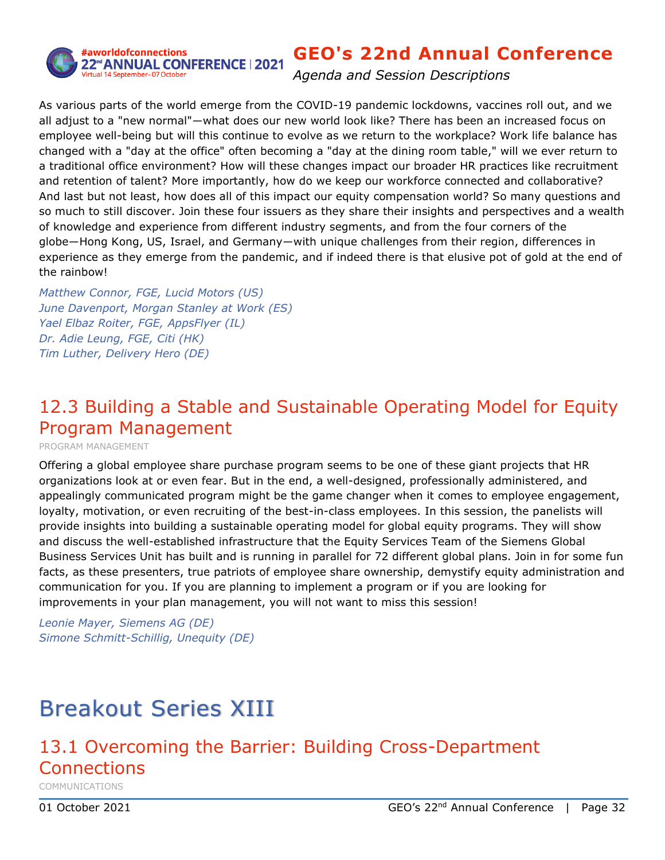

#aworldofconnections 22<sup>rd</sup>ANNUAL CONFERENCE | 2021

## **GEO's 22nd Annual Conference**

*Agenda and Session Descriptions*

As various parts of the world emerge from the COVID-19 pandemic lockdowns, vaccines roll out, and we all adjust to a "new normal"―what does our new world look like? There has been an increased focus on employee well-being but will this continue to evolve as we return to the workplace? Work life balance has changed with a "day at the office" often becoming a "day at the dining room table," will we ever return to a traditional office environment? How will these changes impact our broader HR practices like recruitment and retention of talent? More importantly, how do we keep our workforce connected and collaborative? And last but not least, how does all of this impact our equity compensation world? So many questions and so much to still discover. Join these four issuers as they share their insights and perspectives and a wealth of knowledge and experience from different industry segments, and from the four corners of the globe―Hong Kong, US, Israel, and Germany―with unique challenges from their region, differences in experience as they emerge from the pandemic, and if indeed there is that elusive pot of gold at the end of the rainbow!

*Matthew Connor, FGE, Lucid Motors (US) June Davenport, Morgan Stanley at Work (ES) Yael Elbaz Roiter, FGE, AppsFlyer (IL) Dr. Adie Leung, FGE, Citi (HK) Tim Luther, Delivery Hero (DE)*

## <span id="page-31-0"></span>12.3 Building a Stable and Sustainable Operating Model for Equity Program Management

PROGRAM MANAGEMENT

Offering a global employee share purchase program seems to be one of these giant projects that HR organizations look at or even fear. But in the end, a well-designed, professionally administered, and appealingly communicated program might be the game changer when it comes to employee engagement, loyalty, motivation, or even recruiting of the best-in-class employees. In this session, the panelists will provide insights into building a sustainable operating model for global equity programs. They will show and discuss the well-established infrastructure that the Equity Services Team of the Siemens Global Business Services Unit has built and is running in parallel for 72 different global plans. Join in for some fun facts, as these presenters, true patriots of employee share ownership, demystify equity administration and communication for you. If you are planning to implement a program or if you are looking for improvements in your plan management, you will not want to miss this session!

*Leonie Mayer, Siemens AG (DE) Simone Schmitt-Schillig, Unequity (DE)*

# Breakout Series XIII

# <span id="page-31-1"></span>13.1 Overcoming the Barrier: Building Cross-Department Connections

COMMUNICATIONS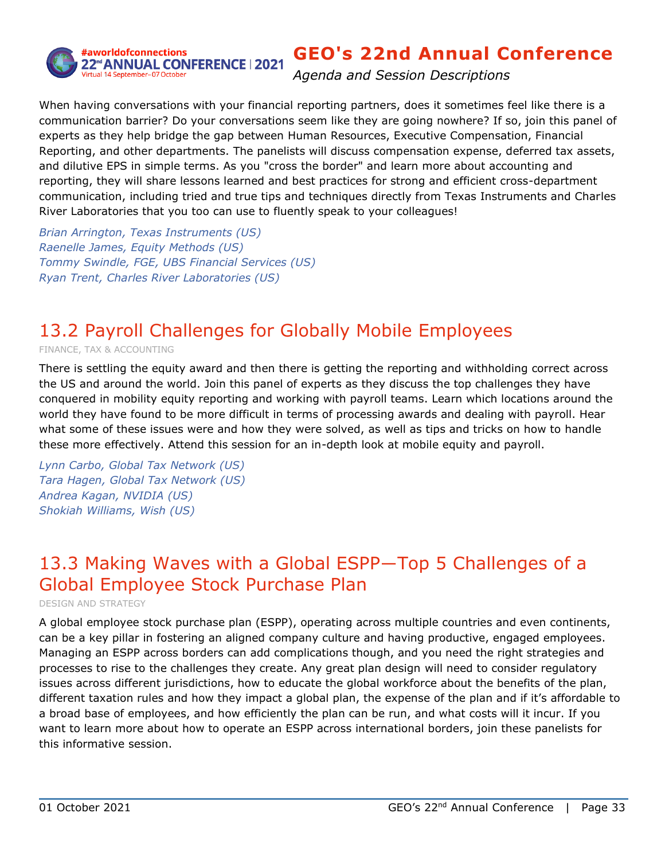

*Agenda and Session Descriptions*

When having conversations with your financial reporting partners, does it sometimes feel like there is a communication barrier? Do your conversations seem like they are going nowhere? If so, join this panel of experts as they help bridge the gap between Human Resources, Executive Compensation, Financial Reporting, and other departments. The panelists will discuss compensation expense, deferred tax assets, and dilutive EPS in simple terms. As you "cross the border" and learn more about accounting and reporting, they will share lessons learned and best practices for strong and efficient cross-department communication, including tried and true tips and techniques directly from Texas Instruments and Charles River Laboratories that you too can use to fluently speak to your colleagues!

*Brian Arrington, Texas Instruments (US) Raenelle James, Equity Methods (US) Tommy Swindle, FGE, UBS Financial Services (US) Ryan Trent, Charles River Laboratories (US)*

## <span id="page-32-0"></span>13.2 Payroll Challenges for Globally Mobile Employees

FINANCE, TAX & ACCOUNTING

There is settling the equity award and then there is getting the reporting and withholding correct across the US and around the world. Join this panel of experts as they discuss the top challenges they have conquered in mobility equity reporting and working with payroll teams. Learn which locations around the world they have found to be more difficult in terms of processing awards and dealing with payroll. Hear what some of these issues were and how they were solved, as well as tips and tricks on how to handle these more effectively. Attend this session for an in-depth look at mobile equity and payroll.

*Lynn Carbo, Global Tax Network (US) Tara Hagen, Global Tax Network (US) Andrea Kagan, NVIDIA (US) Shokiah Williams, Wish (US)*

## <span id="page-32-1"></span>13.3 Making Waves with a Global ESPP―Top 5 Challenges of a Global Employee Stock Purchase Plan

DESIGN AND STRATEGY

A global employee stock purchase plan (ESPP), operating across multiple countries and even continents, can be a key pillar in fostering an aligned company culture and having productive, engaged employees. Managing an ESPP across borders can add complications though, and you need the right strategies and processes to rise to the challenges they create. Any great plan design will need to consider regulatory issues across different jurisdictions, how to educate the global workforce about the benefits of the plan, different taxation rules and how they impact a global plan, the expense of the plan and if it's affordable to a broad base of employees, and how efficiently the plan can be run, and what costs will it incur. If you want to learn more about how to operate an ESPP across international borders, join these panelists for this informative session.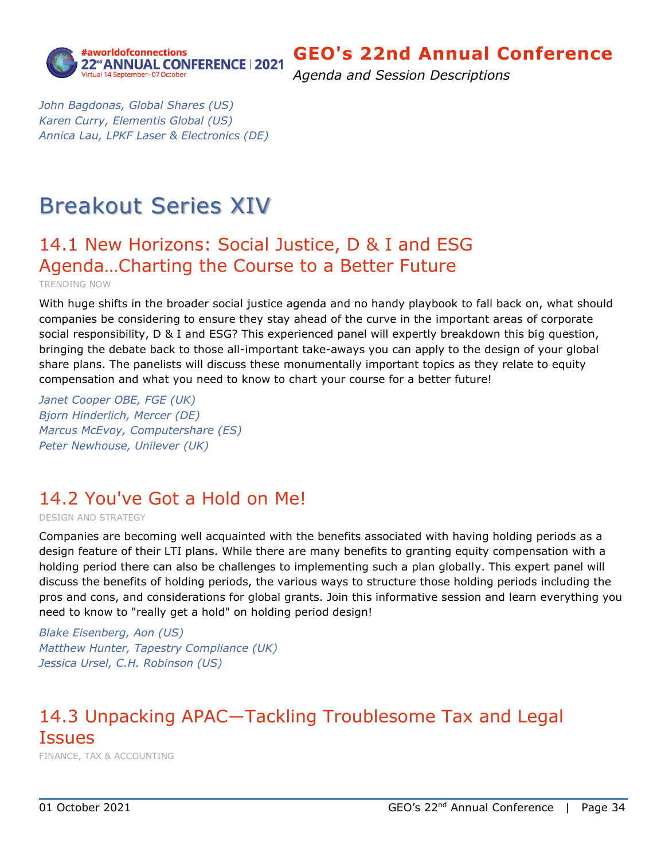

*Agenda and Session Descriptions*

*John Bagdonas, Global Shares (US) Karen Curry, Elementis Global (US) Annica Lau, LPKF Laser & Electronics (DE)*

# Breakout Series XIV

# <span id="page-33-0"></span>14.1 New Horizons: Social Justice, D & I and ESG Agenda…Charting the Course to a Better Future

TRENDING NOW

With huge shifts in the broader social justice agenda and no handy playbook to fall back on, what should companies be considering to ensure they stay ahead of the curve in the important areas of corporate social responsibility, D & I and ESG? This experienced panel will expertly breakdown this big question, bringing the debate back to those all-important take-aways you can apply to the design of your global share plans. The panelists will discuss these monumentally important topics as they relate to equity compensation and what you need to know to chart your course for a better future!

*Janet Cooper OBE, FGE (UK) Bjorn Hinderlich, Mercer (DE) Marcus McEvoy, Computershare (ES) Peter Newhouse, Unilever (UK)*

## <span id="page-33-1"></span>14.2 You've Got a Hold on Me!

DESIGN AND STRATEGY

Companies are becoming well acquainted with the benefits associated with having holding periods as a design feature of their LTI plans. While there are many benefits to granting equity compensation with a holding period there can also be challenges to implementing such a plan globally. This expert panel will discuss the benefits of holding periods, the various ways to structure those holding periods including the pros and cons, and considerations for global grants. Join this informative session and learn everything you need to know to "really get a hold" on holding period design!

*Blake Eisenberg, Aon (US) Matthew Hunter, Tapestry Compliance (UK) Jessica Ursel, C.H. Robinson (US)*

## <span id="page-33-2"></span>14.3 Unpacking APAC―Tackling Troublesome Tax and Legal **Issues**

FINANCE, TAX & ACCOUNTING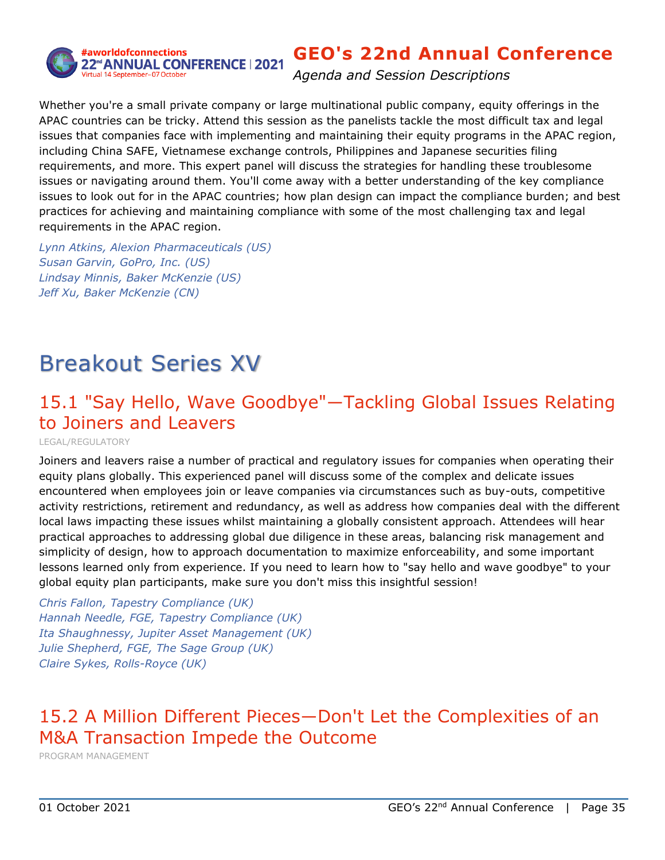

*Agenda and Session Descriptions*

Whether you're a small private company or large multinational public company, equity offerings in the APAC countries can be tricky. Attend this session as the panelists tackle the most difficult tax and legal issues that companies face with implementing and maintaining their equity programs in the APAC region, including China SAFE, Vietnamese exchange controls, Philippines and Japanese securities filing requirements, and more. This expert panel will discuss the strategies for handling these troublesome issues or navigating around them. You'll come away with a better understanding of the key compliance issues to look out for in the APAC countries; how plan design can impact the compliance burden; and best practices for achieving and maintaining compliance with some of the most challenging tax and legal requirements in the APAC region.

*Lynn Atkins, Alexion Pharmaceuticals (US) Susan Garvin, GoPro, Inc. (US) Lindsay Minnis, Baker McKenzie (US) Jeff Xu, Baker McKenzie (CN)*

# Breakout Series XV

## <span id="page-34-0"></span>15.1 "Say Hello, Wave Goodbye"―Tackling Global Issues Relating to Joiners and Leavers

LEGAL/REGULATORY

Joiners and leavers raise a number of practical and regulatory issues for companies when operating their equity plans globally. This experienced panel will discuss some of the complex and delicate issues encountered when employees join or leave companies via circumstances such as buy-outs, competitive activity restrictions, retirement and redundancy, as well as address how companies deal with the different local laws impacting these issues whilst maintaining a globally consistent approach. Attendees will hear practical approaches to addressing global due diligence in these areas, balancing risk management and simplicity of design, how to approach documentation to maximize enforceability, and some important lessons learned only from experience. If you need to learn how to "say hello and wave goodbye" to your global equity plan participants, make sure you don't miss this insightful session!

*Chris Fallon, Tapestry Compliance (UK) Hannah Needle, FGE, Tapestry Compliance (UK) Ita Shaughnessy, Jupiter Asset Management (UK) Julie Shepherd, FGE, The Sage Group (UK) Claire Sykes, Rolls-Royce (UK)*

# <span id="page-34-1"></span>15.2 A Million Different Pieces―Don't Let the Complexities of an M&A Transaction Impede the Outcome

PROGRAM MANAGEMENT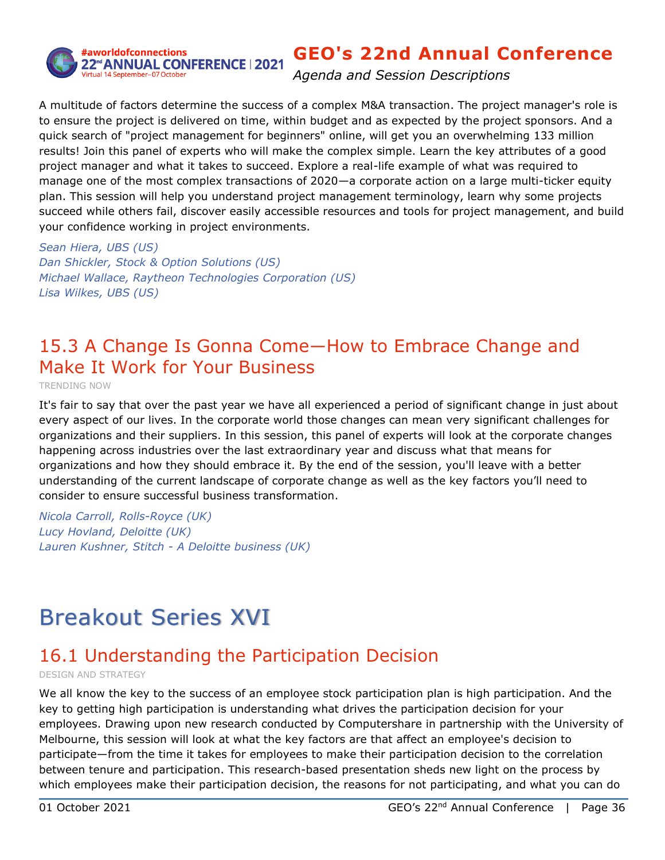

*Agenda and Session Descriptions*

A multitude of factors determine the success of a complex M&A transaction. The project manager's role is to ensure the project is delivered on time, within budget and as expected by the project sponsors. And a quick search of "project management for beginners" online, will get you an overwhelming 133 million results! Join this panel of experts who will make the complex simple. Learn the key attributes of a good project manager and what it takes to succeed. Explore a real-life example of what was required to manage one of the most complex transactions of 2020—a corporate action on a large multi-ticker equity plan. This session will help you understand project management terminology, learn why some projects succeed while others fail, discover easily accessible resources and tools for project management, and build your confidence working in project environments.

*Sean Hiera, UBS (US) Dan Shickler, Stock & Option Solutions (US) Michael Wallace, Raytheon Technologies Corporation (US) Lisa Wilkes, UBS (US)*

## <span id="page-35-0"></span>15.3 A Change Is Gonna Come―How to Embrace Change and Make It Work for Your Business

TRENDING NOW

It's fair to say that over the past year we have all experienced a period of significant change in just about every aspect of our lives. In the corporate world those changes can mean very significant challenges for organizations and their suppliers. In this session, this panel of experts will look at the corporate changes happening across industries over the last extraordinary year and discuss what that means for organizations and how they should embrace it. By the end of the session, you'll leave with a better understanding of the current landscape of corporate change as well as the key factors you'll need to consider to ensure successful business transformation.

*Nicola Carroll, Rolls-Royce (UK) Lucy Hovland, Deloitte (UK) Lauren Kushner, Stitch - A Deloitte business (UK)*

# Breakout Series XVI

## <span id="page-35-1"></span>16.1 Understanding the Participation Decision

DESIGN AND STRATEGY

We all know the key to the success of an employee stock participation plan is high participation. And the key to getting high participation is understanding what drives the participation decision for your employees. Drawing upon new research conducted by Computershare in partnership with the University of Melbourne, this session will look at what the key factors are that affect an employee's decision to participate—from the time it takes for employees to make their participation decision to the correlation between tenure and participation. This research-based presentation sheds new light on the process by which employees make their participation decision, the reasons for not participating, and what you can do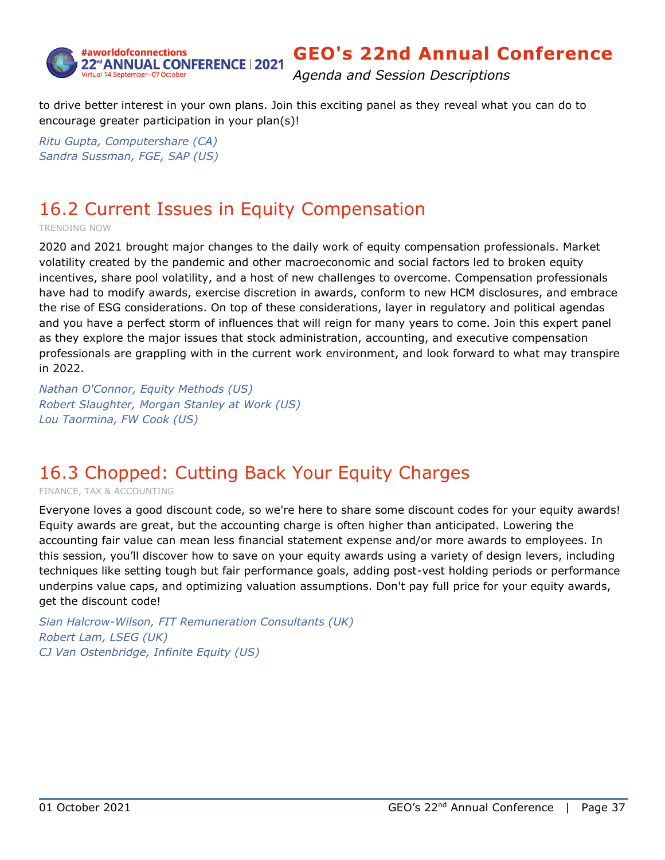

*Agenda and Session Descriptions*

to drive better interest in your own plans. Join this exciting panel as they reveal what you can do to encourage greater participation in your plan(s)!

*Ritu Gupta, Computershare (CA) Sandra Sussman, FGE, SAP (US)*

## <span id="page-36-0"></span>16.2 Current Issues in Equity Compensation

TRENDING NOW

2020 and 2021 brought major changes to the daily work of equity compensation professionals. Market volatility created by the pandemic and other macroeconomic and social factors led to broken equity incentives, share pool volatility, and a host of new challenges to overcome. Compensation professionals have had to modify awards, exercise discretion in awards, conform to new HCM disclosures, and embrace the rise of ESG considerations. On top of these considerations, layer in regulatory and political agendas and you have a perfect storm of influences that will reign for many years to come. Join this expert panel as they explore the major issues that stock administration, accounting, and executive compensation professionals are grappling with in the current work environment, and look forward to what may transpire in 2022.

*Nathan O'Connor, Equity Methods (US) Robert Slaughter, Morgan Stanley at Work (US) Lou Taormina, FW Cook (US)*

## <span id="page-36-1"></span>16.3 Chopped: Cutting Back Your Equity Charges

FINANCE, TAX & ACCOUNTING

Everyone loves a good discount code, so we're here to share some discount codes for your equity awards! Equity awards are great, but the accounting charge is often higher than anticipated. Lowering the accounting fair value can mean less financial statement expense and/or more awards to employees. In this session, you'll discover how to save on your equity awards using a variety of design levers, including techniques like setting tough but fair performance goals, adding post-vest holding periods or performance underpins value caps, and optimizing valuation assumptions. Don't pay full price for your equity awards, get the discount code!

*Sian Halcrow-Wilson, FIT Remuneration Consultants (UK) Robert Lam, LSEG (UK) CJ Van Ostenbridge, Infinite Equity (US)*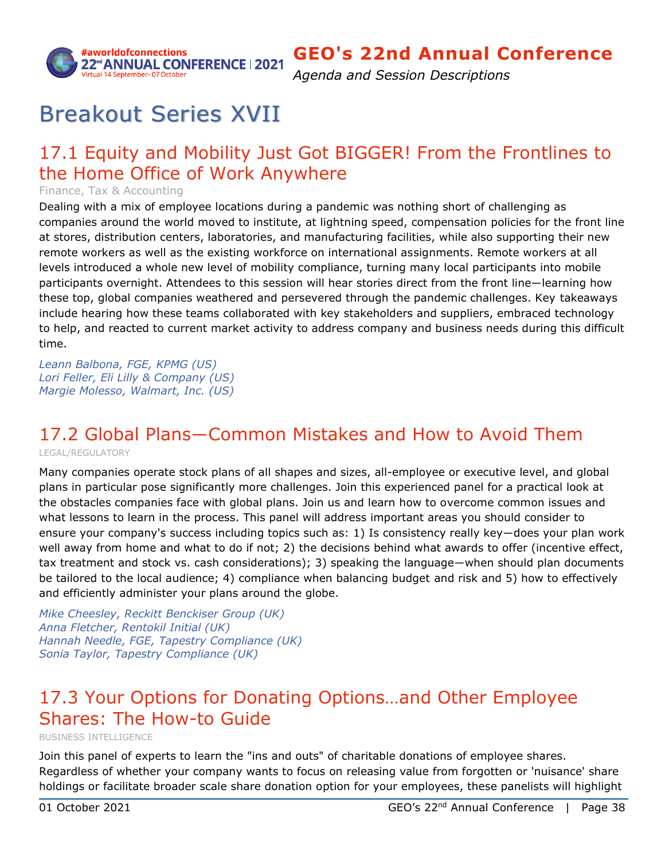

*Agenda and Session Descriptions*

# Breakout Series XVII

## <span id="page-37-0"></span>17.1 Equity and Mobility Just Got BIGGER! From the Frontlines to the Home Office of Work Anywhere

Finance, Tax & Accounting

Dealing with a mix of employee locations during a pandemic was nothing short of challenging as companies around the world moved to institute, at lightning speed, compensation policies for the front line at stores, distribution centers, laboratories, and manufacturing facilities, while also supporting their new remote workers as well as the existing workforce on international assignments. Remote workers at all levels introduced a whole new level of mobility compliance, turning many local participants into mobile participants overnight. Attendees to this session will hear stories direct from the front line―learning how these top, global companies weathered and persevered through the pandemic challenges. Key takeaways include hearing how these teams collaborated with key stakeholders and suppliers, embraced technology to help, and reacted to current market activity to address company and business needs during this difficult time.

*Leann Balbona, FGE, KPMG (US) Lori Feller, Eli Lilly & Company (US) Margie Molesso, Walmart, Inc. (US)*

# <span id="page-37-1"></span>17.2 Global Plans―Common Mistakes and How to Avoid Them

LEGAL/REGULATORY

Many companies operate stock plans of all shapes and sizes, all-employee or executive level, and global plans in particular pose significantly more challenges. Join this experienced panel for a practical look at the obstacles companies face with global plans. Join us and learn how to overcome common issues and what lessons to learn in the process. This panel will address important areas you should consider to ensure your company's success including topics such as: 1) Is consistency really key―does your plan work well away from home and what to do if not; 2) the decisions behind what awards to offer (incentive effect, tax treatment and stock vs. cash considerations); 3) speaking the language―when should plan documents be tailored to the local audience; 4) compliance when balancing budget and risk and 5) how to effectively and efficiently administer your plans around the globe.

*Mike Cheesley, Reckitt Benckiser Group (UK) Anna Fletcher, Rentokil Initial (UK) Hannah Needle, FGE, Tapestry Compliance (UK) Sonia Taylor, Tapestry Compliance (UK)*

## <span id="page-37-2"></span>17.3 Your Options for Donating Options…and Other Employee Shares: The How-to Guide

BUSINESS INTELLIGENCE

Join this panel of experts to learn the "ins and outs" of charitable donations of employee shares. Regardless of whether your company wants to focus on releasing value from forgotten or 'nuisance' share holdings or facilitate broader scale share donation option for your employees, these panelists will highlight